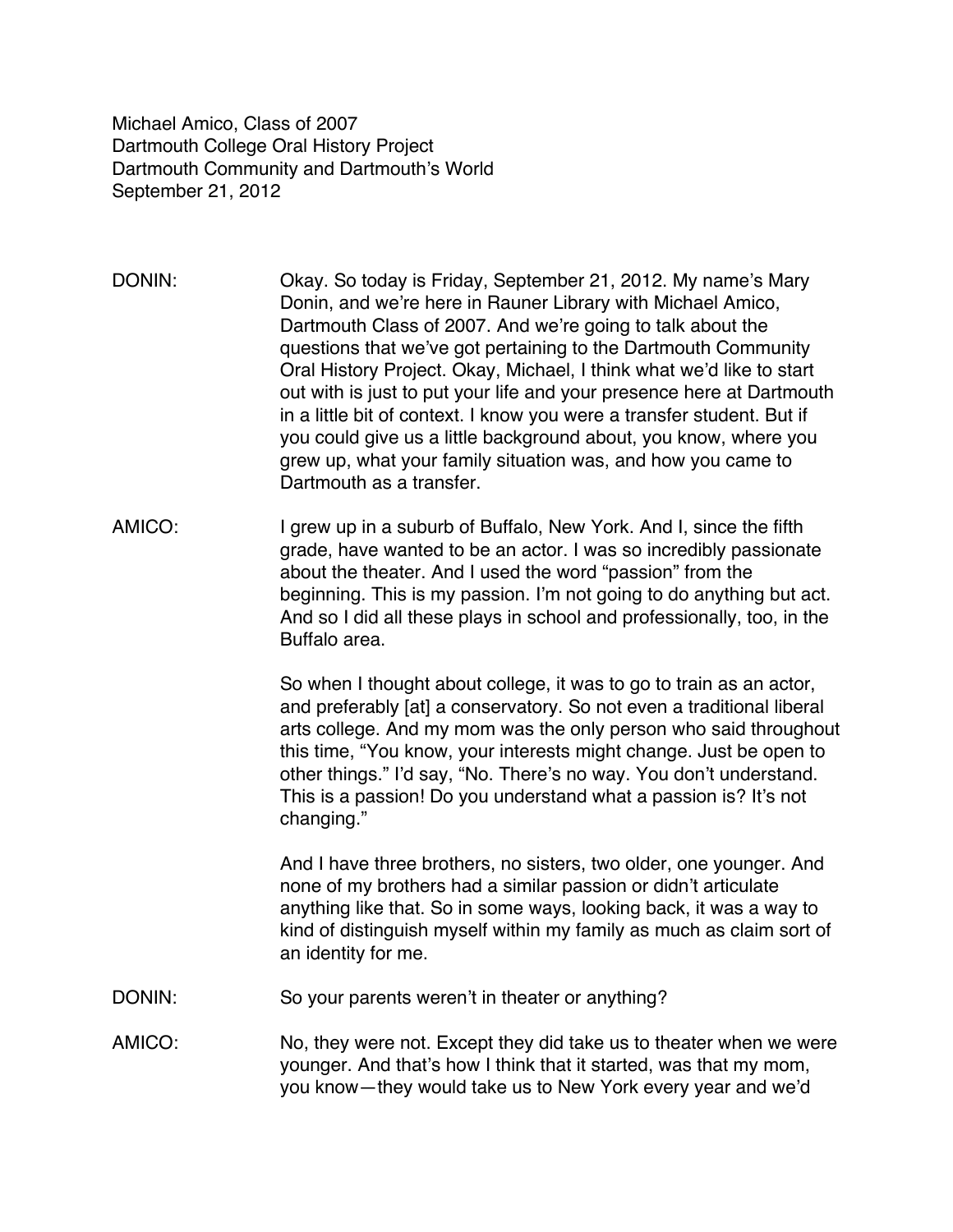Michael Amico, Class of 2007 Dartmouth College Oral History Project Dartmouth Community and Dartmouth's World September 21, 2012

- DONIN: Okay. So today is Friday, September 21, 2012. My name's Mary Donin, and we're here in Rauner Library with Michael Amico, Dartmouth Class of 2007. And we're going to talk about the questions that we've got pertaining to the Dartmouth Community Oral History Project. Okay, Michael, I think what we'd like to start out with is just to put your life and your presence here at Dartmouth in a little bit of context. I know you were a transfer student. But if you could give us a little background about, you know, where you grew up, what your family situation was, and how you came to Dartmouth as a transfer.
- AMICO: I grew up in a suburb of Buffalo, New York. And I, since the fifth grade, have wanted to be an actor. I was so incredibly passionate about the theater. And I used the word "passion" from the beginning. This is my passion. I'm not going to do anything but act. And so I did all these plays in school and professionally, too, in the Buffalo area.

So when I thought about college, it was to go to train as an actor, and preferably [at] a conservatory. So not even a traditional liberal arts college. And my mom was the only person who said throughout this time, "You know, your interests might change. Just be open to other things." I'd say, "No. There's no way. You don't understand. This is a passion! Do you understand what a passion is? It's not changing."

And I have three brothers, no sisters, two older, one younger. And none of my brothers had a similar passion or didn't articulate anything like that. So in some ways, looking back, it was a way to kind of distinguish myself within my family as much as claim sort of an identity for me.

- DONIN: So your parents weren't in theater or anything?
- AMICO: No, they were not. Except they did take us to theater when we were younger. And that's how I think that it started, was that my mom, you know—they would take us to New York every year and we'd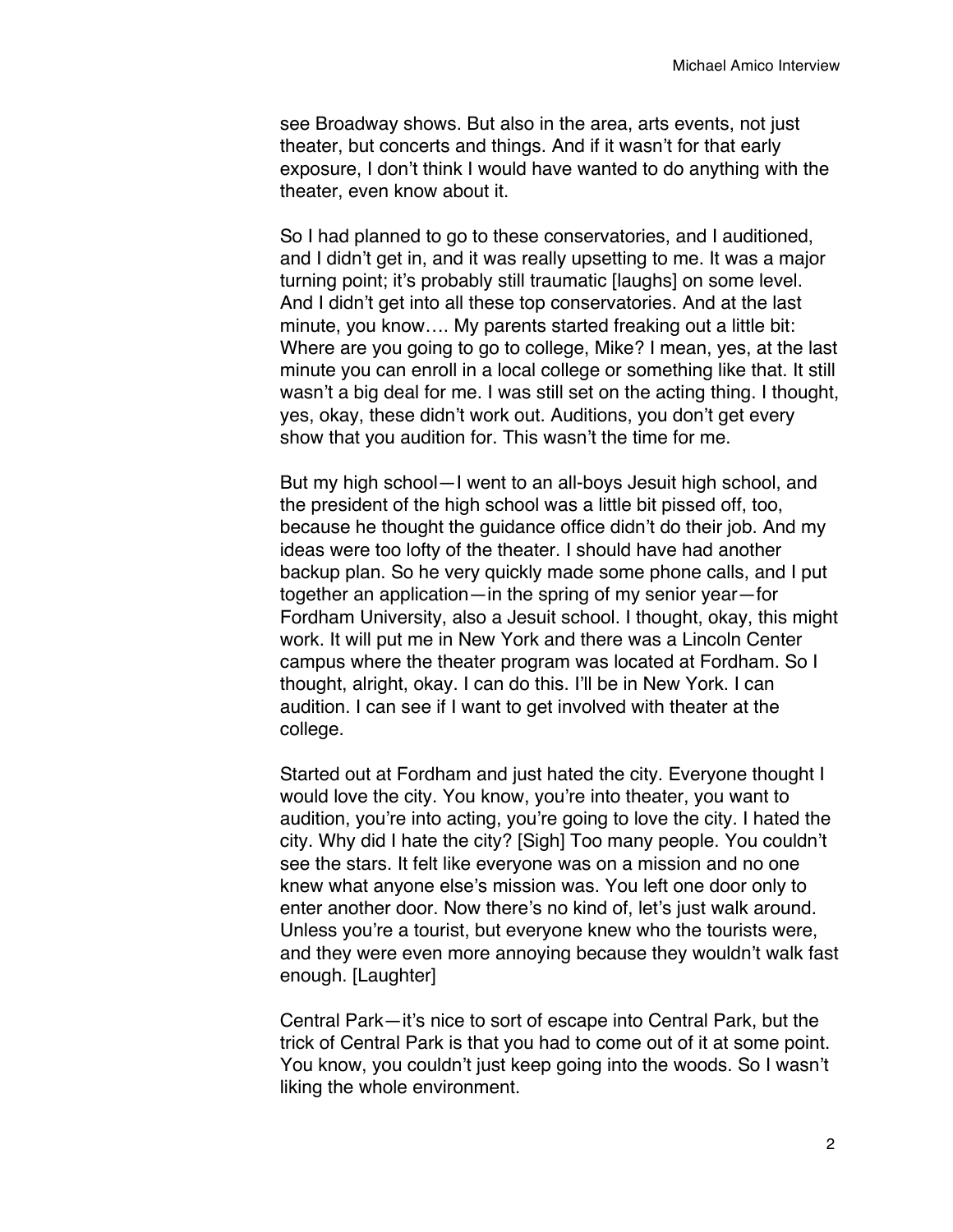see Broadway shows. But also in the area, arts events, not just theater, but concerts and things. And if it wasn't for that early exposure, I don't think I would have wanted to do anything with the theater, even know about it.

So I had planned to go to these conservatories, and I auditioned, and I didn't get in, and it was really upsetting to me. It was a major turning point; it's probably still traumatic [laughs] on some level. And I didn't get into all these top conservatories. And at the last minute, you know…. My parents started freaking out a little bit: Where are you going to go to college, Mike? I mean, yes, at the last minute you can enroll in a local college or something like that. It still wasn't a big deal for me. I was still set on the acting thing. I thought, yes, okay, these didn't work out. Auditions, you don't get every show that you audition for. This wasn't the time for me.

But my high school—I went to an all-boys Jesuit high school, and the president of the high school was a little bit pissed off, too, because he thought the guidance office didn't do their job. And my ideas were too lofty of the theater. I should have had another backup plan. So he very quickly made some phone calls, and I put together an application—in the spring of my senior year—for Fordham University, also a Jesuit school. I thought, okay, this might work. It will put me in New York and there was a Lincoln Center campus where the theater program was located at Fordham. So I thought, alright, okay. I can do this. I'll be in New York. I can audition. I can see if I want to get involved with theater at the college.

Started out at Fordham and just hated the city. Everyone thought I would love the city. You know, you're into theater, you want to audition, you're into acting, you're going to love the city. I hated the city. Why did I hate the city? [Sigh] Too many people. You couldn't see the stars. It felt like everyone was on a mission and no one knew what anyone else's mission was. You left one door only to enter another door. Now there's no kind of, let's just walk around. Unless you're a tourist, but everyone knew who the tourists were, and they were even more annoying because they wouldn't walk fast enough. [Laughter]

Central Park—it's nice to sort of escape into Central Park, but the trick of Central Park is that you had to come out of it at some point. You know, you couldn't just keep going into the woods. So I wasn't liking the whole environment.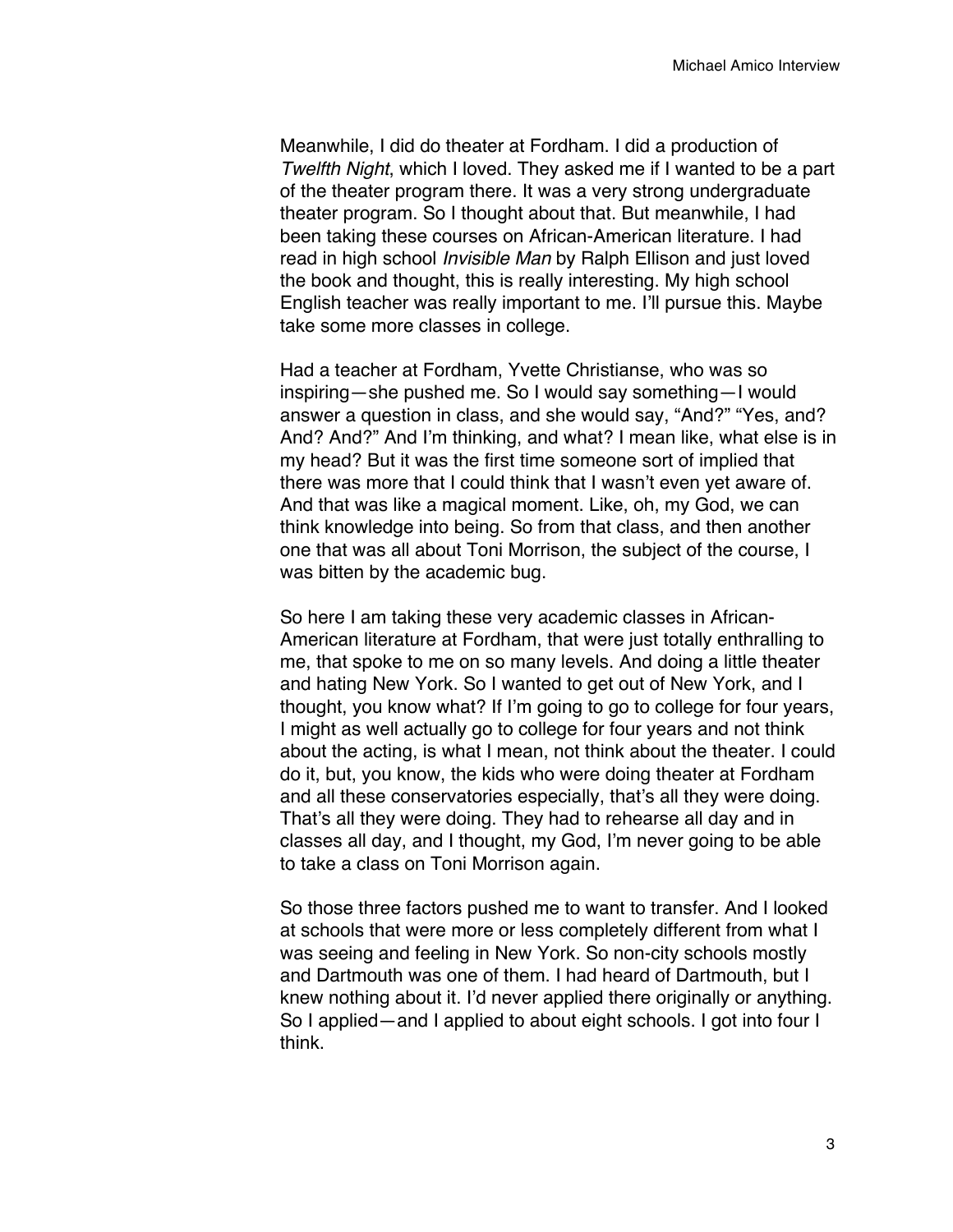Meanwhile, I did do theater at Fordham. I did a production of *Twelfth Night*, which I loved. They asked me if I wanted to be a part of the theater program there. It was a very strong undergraduate theater program. So I thought about that. But meanwhile, I had been taking these courses on African-American literature. I had read in high school *Invisible Man* by Ralph Ellison and just loved the book and thought, this is really interesting. My high school English teacher was really important to me. I'll pursue this. Maybe take some more classes in college.

Had a teacher at Fordham, Yvette Christianse, who was so inspiring—she pushed me. So I would say something—I would answer a question in class, and she would say, "And?" "Yes, and? And? And?" And I'm thinking, and what? I mean like, what else is in my head? But it was the first time someone sort of implied that there was more that I could think that I wasn't even yet aware of. And that was like a magical moment. Like, oh, my God, we can think knowledge into being. So from that class, and then another one that was all about Toni Morrison, the subject of the course, I was bitten by the academic bug.

So here I am taking these very academic classes in African-American literature at Fordham, that were just totally enthralling to me, that spoke to me on so many levels. And doing a little theater and hating New York. So I wanted to get out of New York, and I thought, you know what? If I'm going to go to college for four years, I might as well actually go to college for four years and not think about the acting, is what I mean, not think about the theater. I could do it, but, you know, the kids who were doing theater at Fordham and all these conservatories especially, that's all they were doing. That's all they were doing. They had to rehearse all day and in classes all day, and I thought, my God, I'm never going to be able to take a class on Toni Morrison again.

So those three factors pushed me to want to transfer. And I looked at schools that were more or less completely different from what I was seeing and feeling in New York. So non-city schools mostly and Dartmouth was one of them. I had heard of Dartmouth, but I knew nothing about it. I'd never applied there originally or anything. So I applied—and I applied to about eight schools. I got into four I think.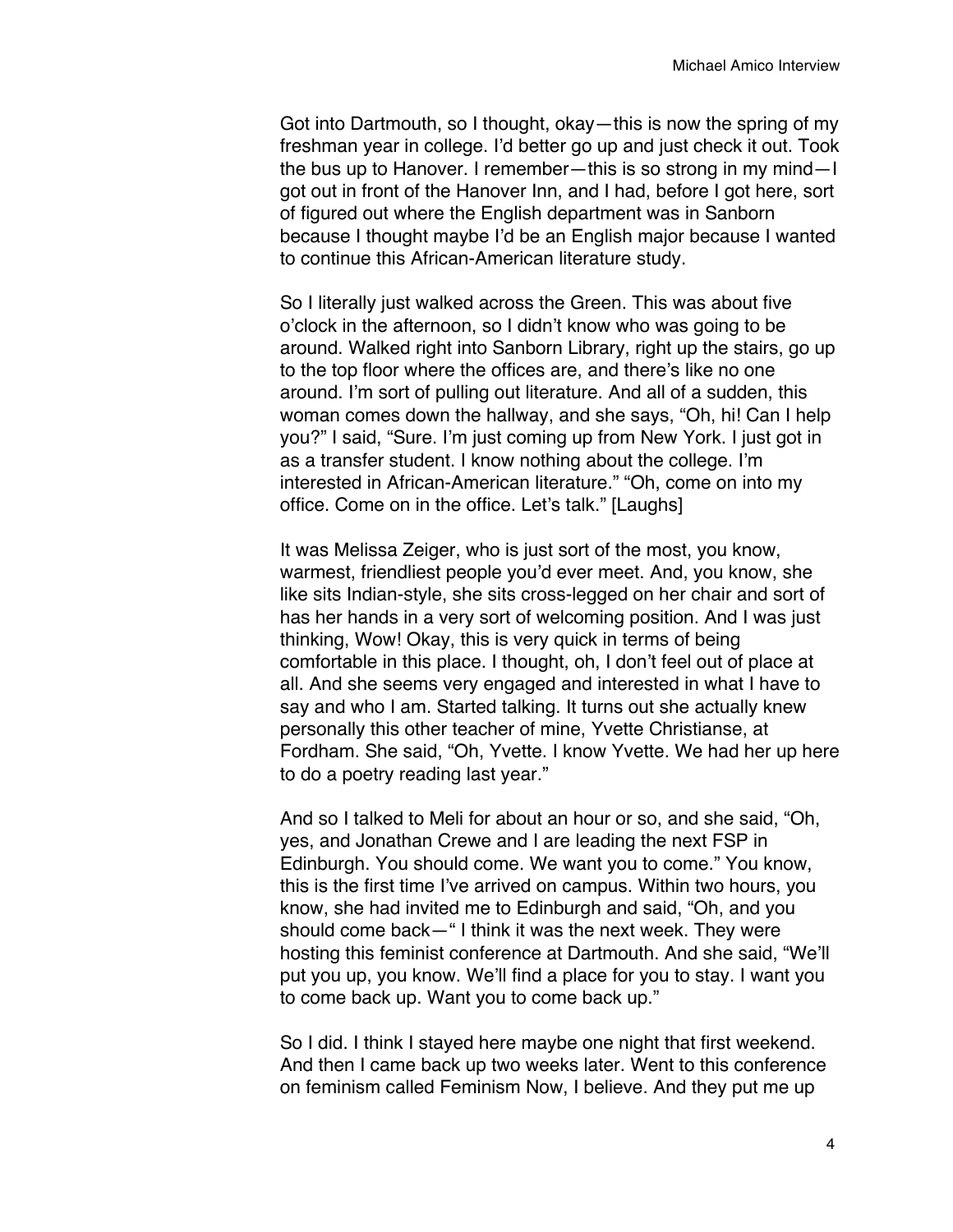Got into Dartmouth, so I thought, okay—this is now the spring of my freshman year in college. I'd better go up and just check it out. Took the bus up to Hanover. I remember—this is so strong in my mind—I got out in front of the Hanover Inn, and I had, before I got here, sort of figured out where the English department was in Sanborn because I thought maybe I'd be an English major because I wanted to continue this African-American literature study.

So I literally just walked across the Green. This was about five o'clock in the afternoon, so I didn't know who was going to be around. Walked right into Sanborn Library, right up the stairs, go up to the top floor where the offices are, and there's like no one around. I'm sort of pulling out literature. And all of a sudden, this woman comes down the hallway, and she says, "Oh, hi! Can I help you?" I said, "Sure. I'm just coming up from New York. I just got in as a transfer student. I know nothing about the college. I'm interested in African-American literature." "Oh, come on into my office. Come on in the office. Let's talk." [Laughs]

It was Melissa Zeiger, who is just sort of the most, you know, warmest, friendliest people you'd ever meet. And, you know, she like sits Indian-style, she sits cross-legged on her chair and sort of has her hands in a very sort of welcoming position. And I was just thinking, Wow! Okay, this is very quick in terms of being comfortable in this place. I thought, oh, I don't feel out of place at all. And she seems very engaged and interested in what I have to say and who I am. Started talking. It turns out she actually knew personally this other teacher of mine, Yvette Christianse, at Fordham. She said, "Oh, Yvette. I know Yvette. We had her up here to do a poetry reading last year."

And so I talked to Meli for about an hour or so, and she said, "Oh, yes, and Jonathan Crewe and I are leading the next FSP in Edinburgh. You should come. We want you to come." You know, this is the first time I've arrived on campus. Within two hours, you know, she had invited me to Edinburgh and said, "Oh, and you should come back—" I think it was the next week. They were hosting this feminist conference at Dartmouth. And she said, "We'll put you up, you know. We'll find a place for you to stay. I want you to come back up. Want you to come back up."

So I did. I think I stayed here maybe one night that first weekend. And then I came back up two weeks later. Went to this conference on feminism called Feminism Now, I believe. And they put me up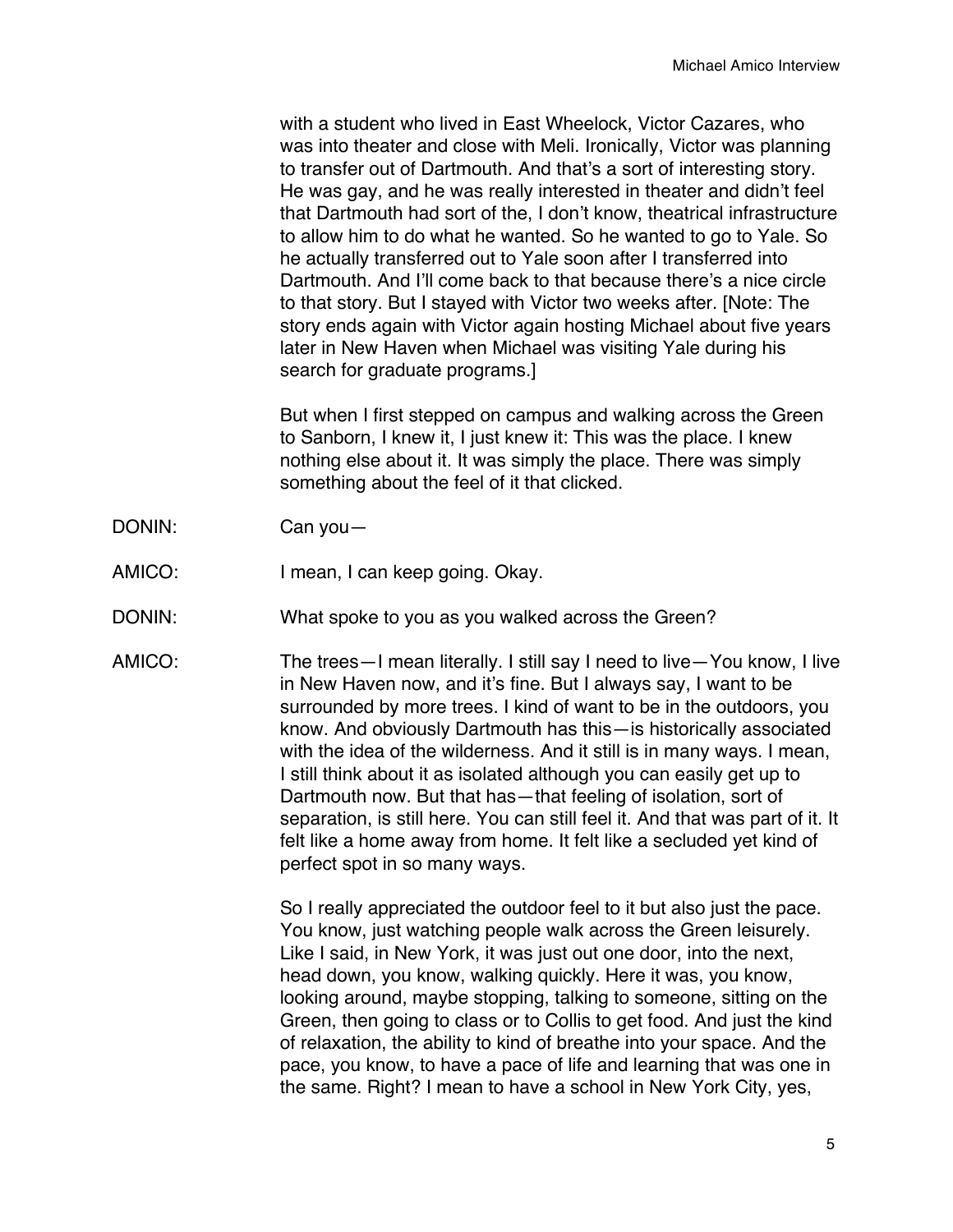with a student who lived in East Wheelock, Victor Cazares, who was into theater and close with Meli. Ironically, Victor was planning to transfer out of Dartmouth. And that's a sort of interesting story. He was gay, and he was really interested in theater and didn't feel that Dartmouth had sort of the, I don't know, theatrical infrastructure to allow him to do what he wanted. So he wanted to go to Yale. So he actually transferred out to Yale soon after I transferred into Dartmouth. And I'll come back to that because there's a nice circle to that story. But I stayed with Victor two weeks after. [Note: The story ends again with Victor again hosting Michael about five years later in New Haven when Michael was visiting Yale during his search for graduate programs.]

But when I first stepped on campus and walking across the Green to Sanborn, I knew it, I just knew it: This was the place. I knew nothing else about it. It was simply the place. There was simply something about the feel of it that clicked.

- DONIN: Can you—
- AMICO: I mean, I can keep going. Okay.
- DONIN: What spoke to you as you walked across the Green?
- AMICO: The trees—I mean literally. I still say I need to live—You know, I live in New Haven now, and it's fine. But I always say, I want to be surrounded by more trees. I kind of want to be in the outdoors, you know. And obviously Dartmouth has this—is historically associated with the idea of the wilderness. And it still is in many ways. I mean, I still think about it as isolated although you can easily get up to Dartmouth now. But that has—that feeling of isolation, sort of separation, is still here. You can still feel it. And that was part of it. It felt like a home away from home. It felt like a secluded yet kind of perfect spot in so many ways.

So I really appreciated the outdoor feel to it but also just the pace. You know, just watching people walk across the Green leisurely. Like I said, in New York, it was just out one door, into the next, head down, you know, walking quickly. Here it was, you know, looking around, maybe stopping, talking to someone, sitting on the Green, then going to class or to Collis to get food. And just the kind of relaxation, the ability to kind of breathe into your space. And the pace, you know, to have a pace of life and learning that was one in the same. Right? I mean to have a school in New York City, yes,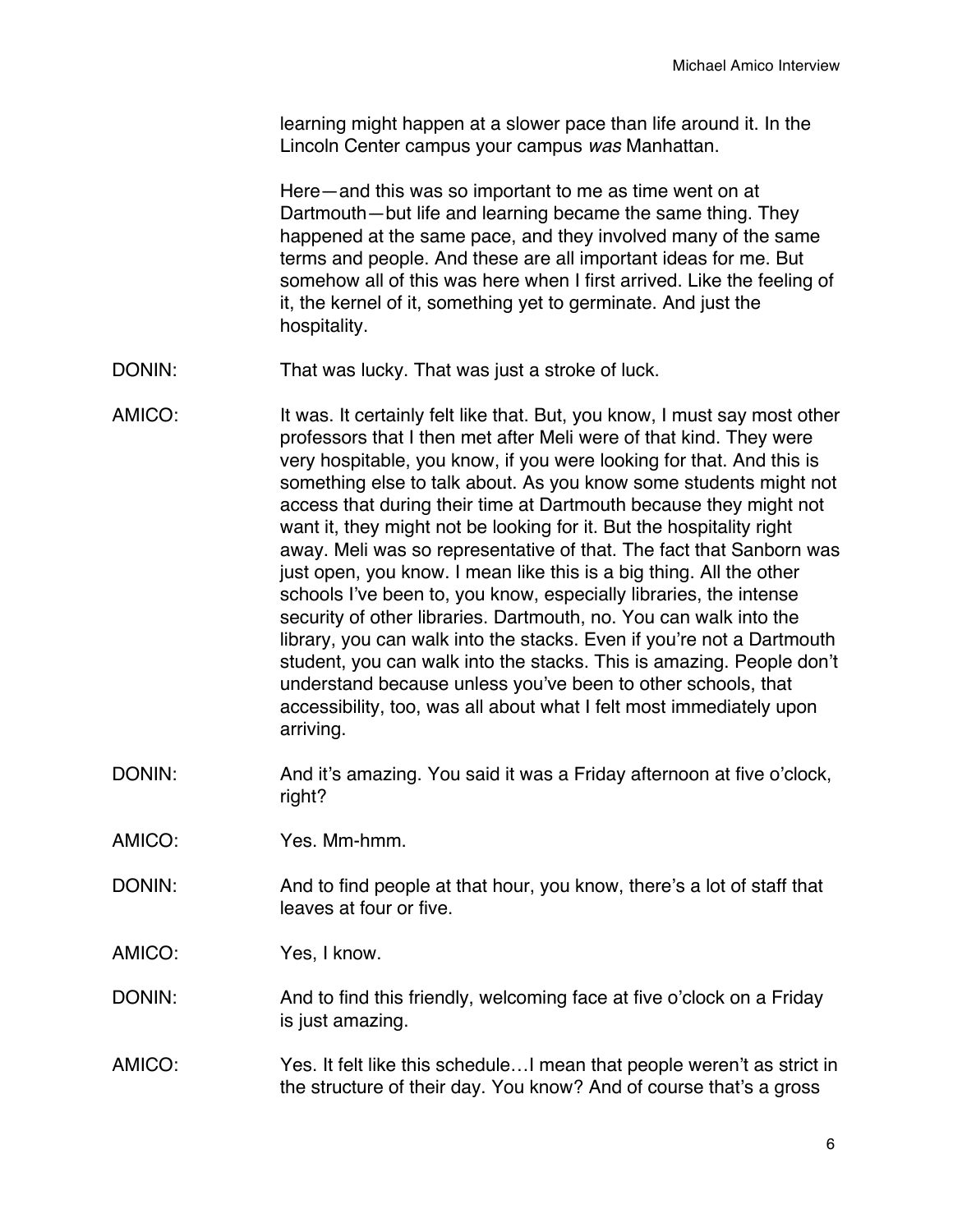learning might happen at a slower pace than life around it. In the Lincoln Center campus your campus *was* Manhattan.

Here—and this was so important to me as time went on at Dartmouth—but life and learning became the same thing. They happened at the same pace, and they involved many of the same terms and people. And these are all important ideas for me. But somehow all of this was here when I first arrived. Like the feeling of it, the kernel of it, something yet to germinate. And just the hospitality.

- DONIN: That was lucky. That was just a stroke of luck.
- AMICO: It was. It certainly felt like that. But, you know, I must say most other professors that I then met after Meli were of that kind. They were very hospitable, you know, if you were looking for that. And this is something else to talk about. As you know some students might not access that during their time at Dartmouth because they might not want it, they might not be looking for it. But the hospitality right away. Meli was so representative of that. The fact that Sanborn was just open, you know. I mean like this is a big thing. All the other schools I've been to, you know, especially libraries, the intense security of other libraries. Dartmouth, no. You can walk into the library, you can walk into the stacks. Even if you're not a Dartmouth student, you can walk into the stacks. This is amazing. People don't understand because unless you've been to other schools, that accessibility, too, was all about what I felt most immediately upon arriving.
- DONIN: And it's amazing. You said it was a Friday afternoon at five o'clock, right?
- AMICO: Yes. Mm-hmm.
- DONIN: And to find people at that hour, you know, there's a lot of staff that leaves at four or five.
- AMICO: Yes, I know.
- DONIN: And to find this friendly, welcoming face at five o'clock on a Friday is just amazing.
- AMICO: Yes. It felt like this schedule…I mean that people weren't as strict in the structure of their day. You know? And of course that's a gross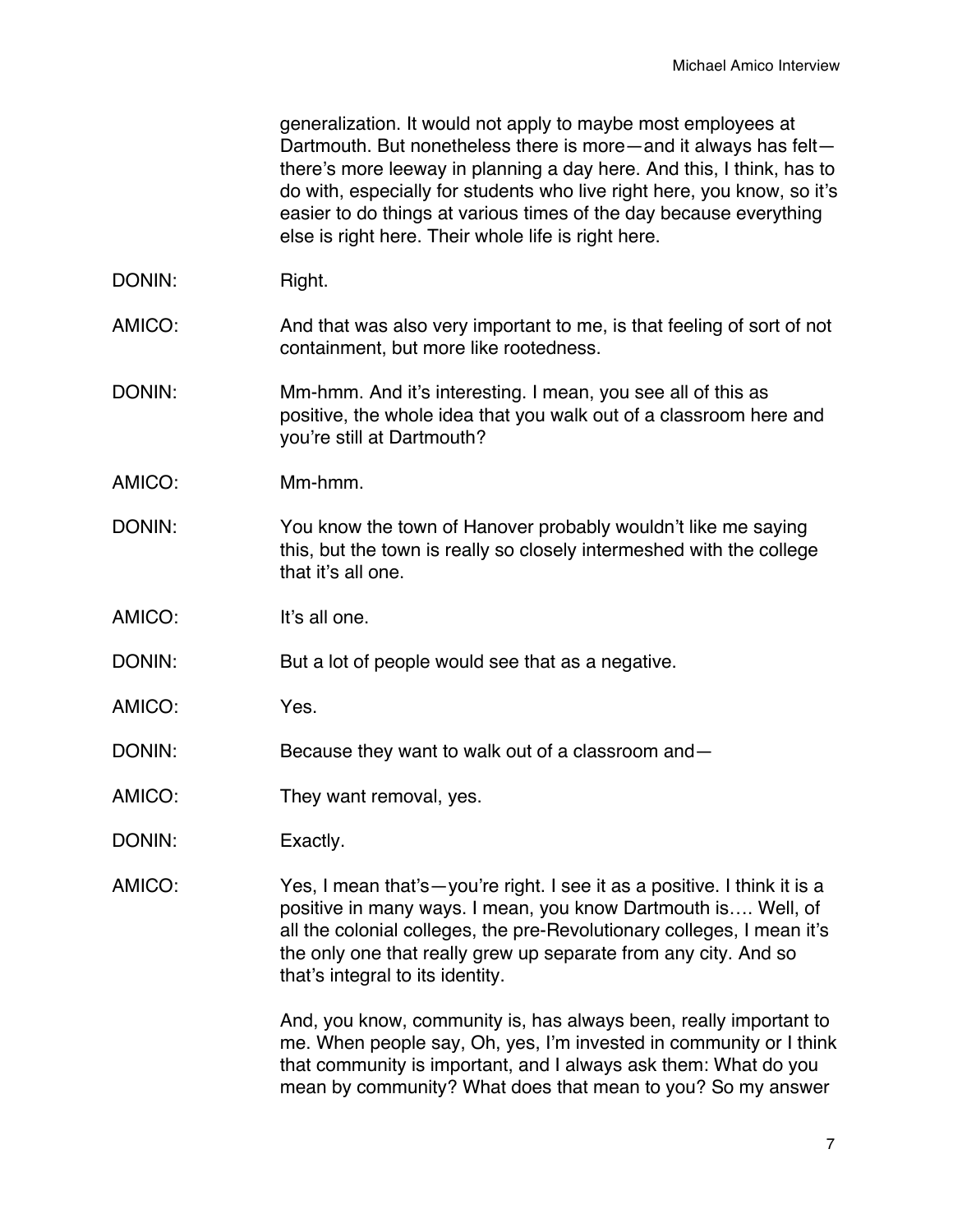generalization. It would not apply to maybe most employees at Dartmouth. But nonetheless there is more—and it always has felt there's more leeway in planning a day here. And this, I think, has to do with, especially for students who live right here, you know, so it's easier to do things at various times of the day because everything else is right here. Their whole life is right here.

- DONIN: Right.
- AMICO: And that was also very important to me, is that feeling of sort of not containment, but more like rootedness.
- DONIN: Mm-hmm. And it's interesting. I mean, you see all of this as positive, the whole idea that you walk out of a classroom here and you're still at Dartmouth?
- AMICO: Mm-hmm.
- DONIN: You know the town of Hanover probably wouldn't like me saying this, but the town is really so closely intermeshed with the college that it's all one.
- AMICO: It's all one.
- DONIN: But a lot of people would see that as a negative.
- AMICO: Yes.
- DONIN: Because they want to walk out of a classroom and-
- AMICO: They want removal, yes.
- DONIN: Exactly.
- AMICO: Yes, I mean that's—you're right. I see it as a positive. I think it is a positive in many ways. I mean, you know Dartmouth is…. Well, of all the colonial colleges, the pre-Revolutionary colleges, I mean it's the only one that really grew up separate from any city. And so that's integral to its identity.

And, you know, community is, has always been, really important to me. When people say, Oh, yes, I'm invested in community or I think that community is important, and I always ask them: What do you mean by community? What does that mean to you? So my answer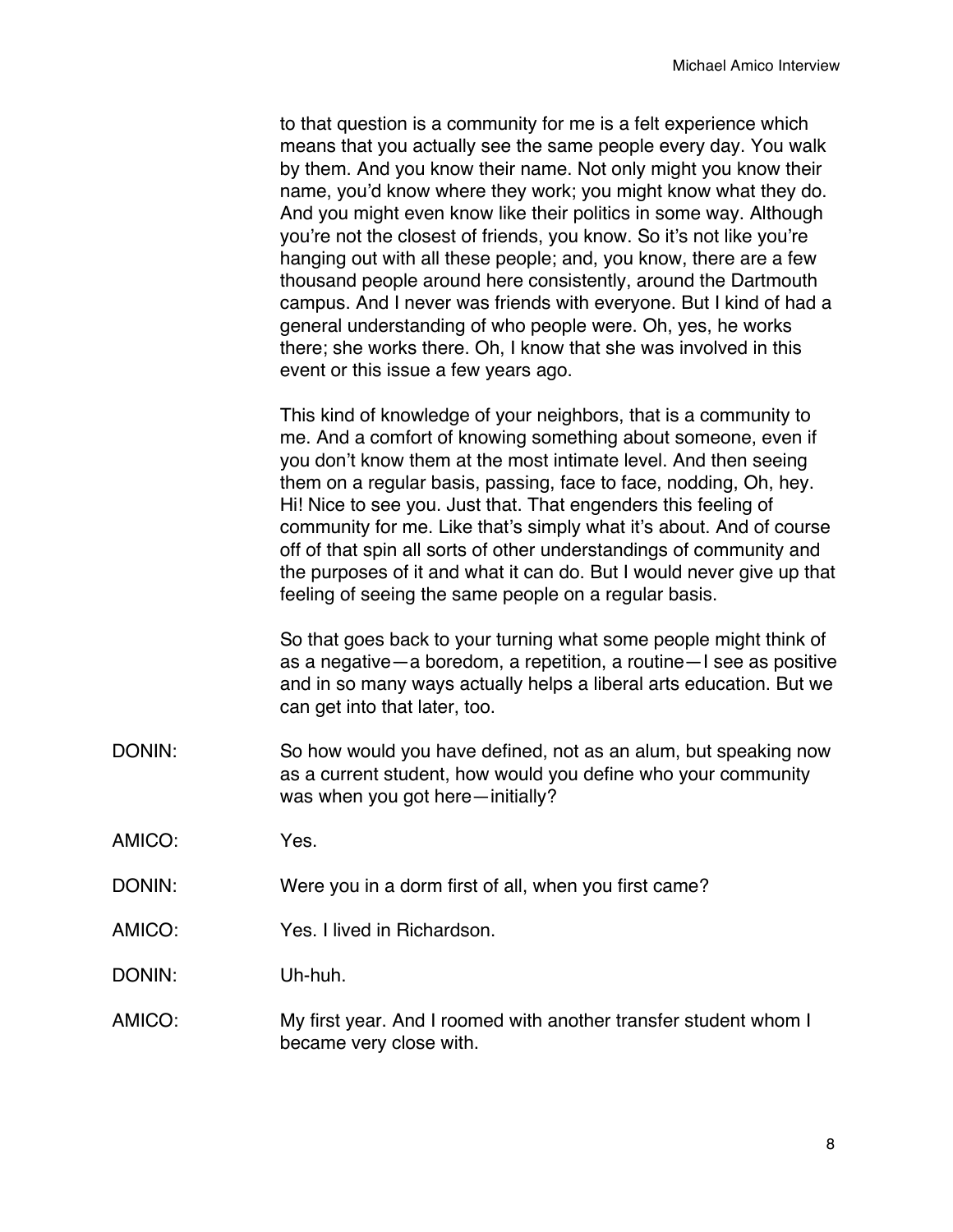to that question is a community for me is a felt experience which means that you actually see the same people every day. You walk by them. And you know their name. Not only might you know their name, you'd know where they work; you might know what they do. And you might even know like their politics in some way. Although you're not the closest of friends, you know. So it's not like you're hanging out with all these people; and, you know, there are a few thousand people around here consistently, around the Dartmouth campus. And I never was friends with everyone. But I kind of had a general understanding of who people were. Oh, yes, he works there; she works there. Oh, I know that she was involved in this event or this issue a few years ago.

This kind of knowledge of your neighbors, that is a community to me. And a comfort of knowing something about someone, even if you don't know them at the most intimate level. And then seeing them on a regular basis, passing, face to face, nodding, Oh, hey. Hi! Nice to see you. Just that. That engenders this feeling of community for me. Like that's simply what it's about. And of course off of that spin all sorts of other understandings of community and the purposes of it and what it can do. But I would never give up that feeling of seeing the same people on a regular basis.

So that goes back to your turning what some people might think of as a negative—a boredom, a repetition, a routine—I see as positive and in so many ways actually helps a liberal arts education. But we can get into that later, too.

- DONIN: So how would you have defined, not as an alum, but speaking now as a current student, how would you define who your community was when you got here—initially?
- AMICO: Yes.
- DONIN: Were you in a dorm first of all, when you first came?
- AMICO: Yes. I lived in Richardson.

DONIN: Uh-huh.

AMICO: My first year. And I roomed with another transfer student whom I became very close with.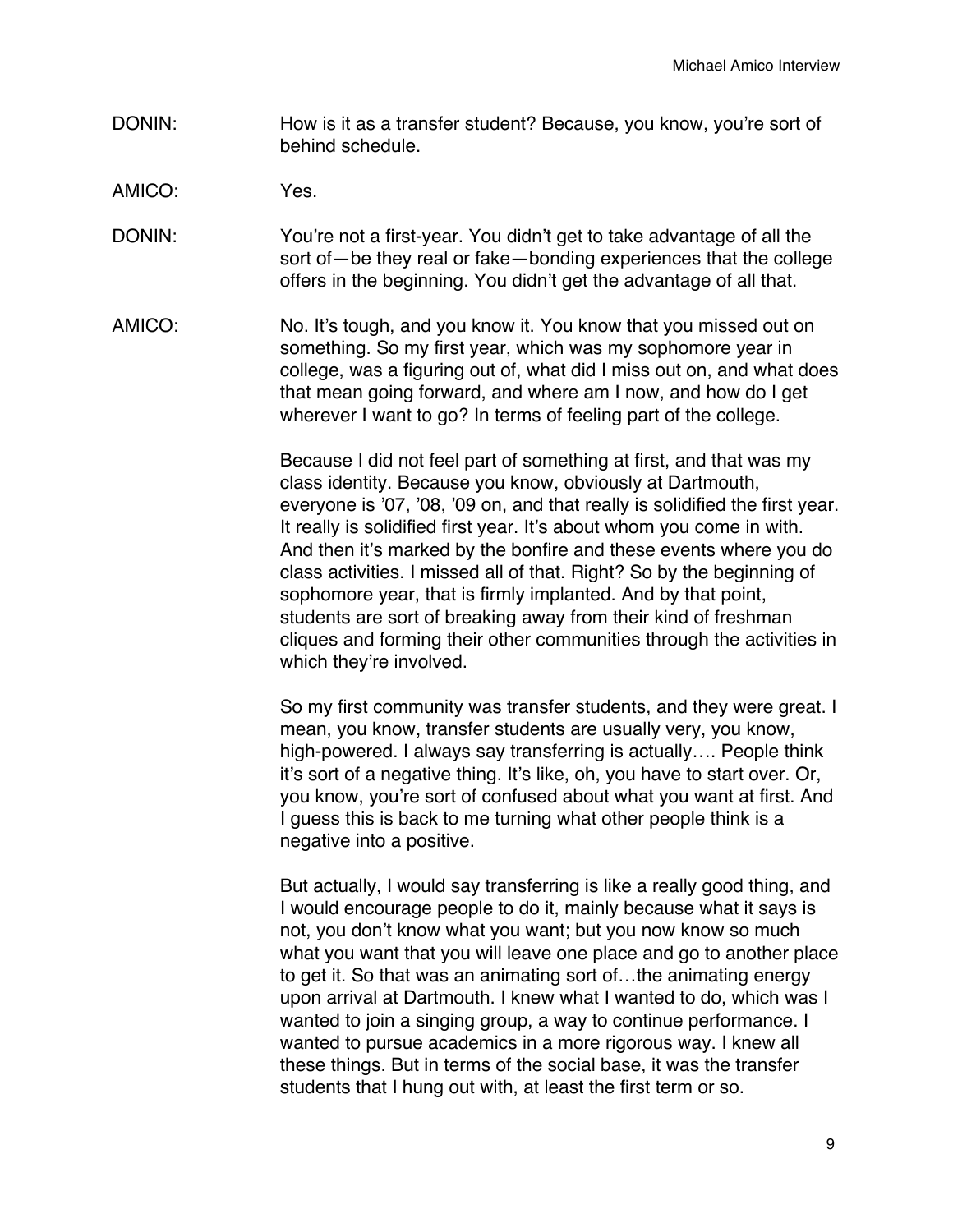- DONIN: How is it as a transfer student? Because, you know, you're sort of behind schedule.
- AMICO: Yes.
- DONIN: You're not a first-year. You didn't get to take advantage of all the sort of—be they real or fake—bonding experiences that the college offers in the beginning. You didn't get the advantage of all that.
- AMICO: No. It's tough, and you know it. You know that you missed out on something. So my first year, which was my sophomore year in college, was a figuring out of, what did I miss out on, and what does that mean going forward, and where am I now, and how do I get wherever I want to go? In terms of feeling part of the college.

Because I did not feel part of something at first, and that was my class identity. Because you know, obviously at Dartmouth, everyone is '07, '08, '09 on, and that really is solidified the first year. It really is solidified first year. It's about whom you come in with. And then it's marked by the bonfire and these events where you do class activities. I missed all of that. Right? So by the beginning of sophomore year, that is firmly implanted. And by that point, students are sort of breaking away from their kind of freshman cliques and forming their other communities through the activities in which they're involved.

So my first community was transfer students, and they were great. I mean, you know, transfer students are usually very, you know, high-powered. I always say transferring is actually…. People think it's sort of a negative thing. It's like, oh, you have to start over. Or, you know, you're sort of confused about what you want at first. And I guess this is back to me turning what other people think is a negative into a positive.

But actually, I would say transferring is like a really good thing, and I would encourage people to do it, mainly because what it says is not, you don't know what you want; but you now know so much what you want that you will leave one place and go to another place to get it. So that was an animating sort of…the animating energy upon arrival at Dartmouth. I knew what I wanted to do, which was I wanted to join a singing group, a way to continue performance. I wanted to pursue academics in a more rigorous way. I knew all these things. But in terms of the social base, it was the transfer students that I hung out with, at least the first term or so.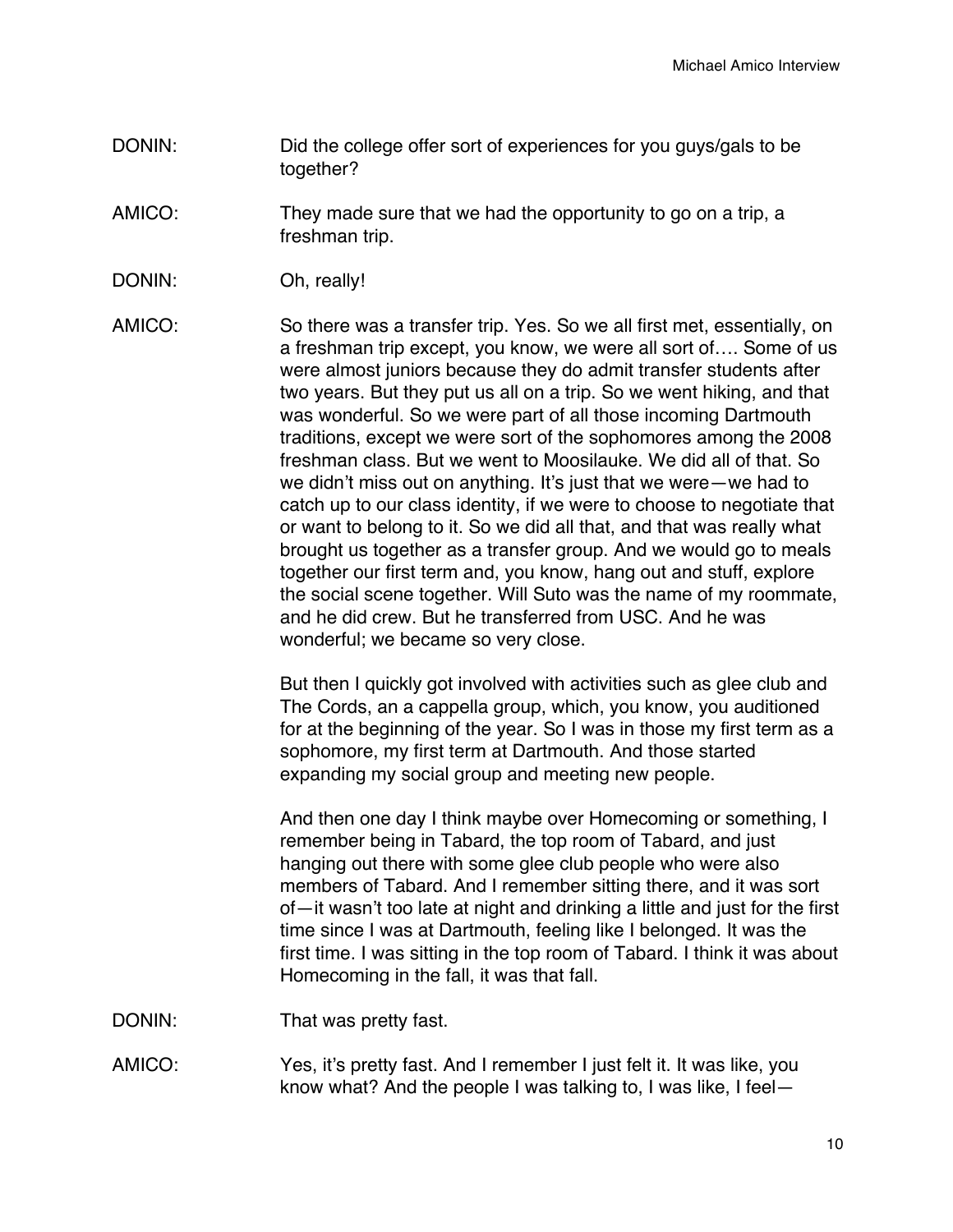- DONIN: DONIN: Did the college offer sort of experiences for you guys/gals to be together?
- AMICO: They made sure that we had the opportunity to go on a trip, a freshman trip.
- DONIN: Oh, really!

AMICO: So there was a transfer trip. Yes. So we all first met, essentially, on a freshman trip except, you know, we were all sort of…. Some of us were almost juniors because they do admit transfer students after two years. But they put us all on a trip. So we went hiking, and that was wonderful. So we were part of all those incoming Dartmouth traditions, except we were sort of the sophomores among the 2008 freshman class. But we went to Moosilauke. We did all of that. So we didn't miss out on anything. It's just that we were—we had to catch up to our class identity, if we were to choose to negotiate that or want to belong to it. So we did all that, and that was really what brought us together as a transfer group. And we would go to meals together our first term and, you know, hang out and stuff, explore the social scene together. Will Suto was the name of my roommate, and he did crew. But he transferred from USC. And he was wonderful; we became so very close.

> But then I quickly got involved with activities such as glee club and The Cords, an a cappella group, which, you know, you auditioned for at the beginning of the year. So I was in those my first term as a sophomore, my first term at Dartmouth. And those started expanding my social group and meeting new people.

And then one day I think maybe over Homecoming or something, I remember being in Tabard, the top room of Tabard, and just hanging out there with some glee club people who were also members of Tabard. And I remember sitting there, and it was sort of—it wasn't too late at night and drinking a little and just for the first time since I was at Dartmouth, feeling like I belonged. It was the first time. I was sitting in the top room of Tabard. I think it was about Homecoming in the fall, it was that fall.

DONIN: That was pretty fast.

AMICO: Yes, it's pretty fast. And I remember I just felt it. It was like, you know what? And the people I was talking to, I was like, I feel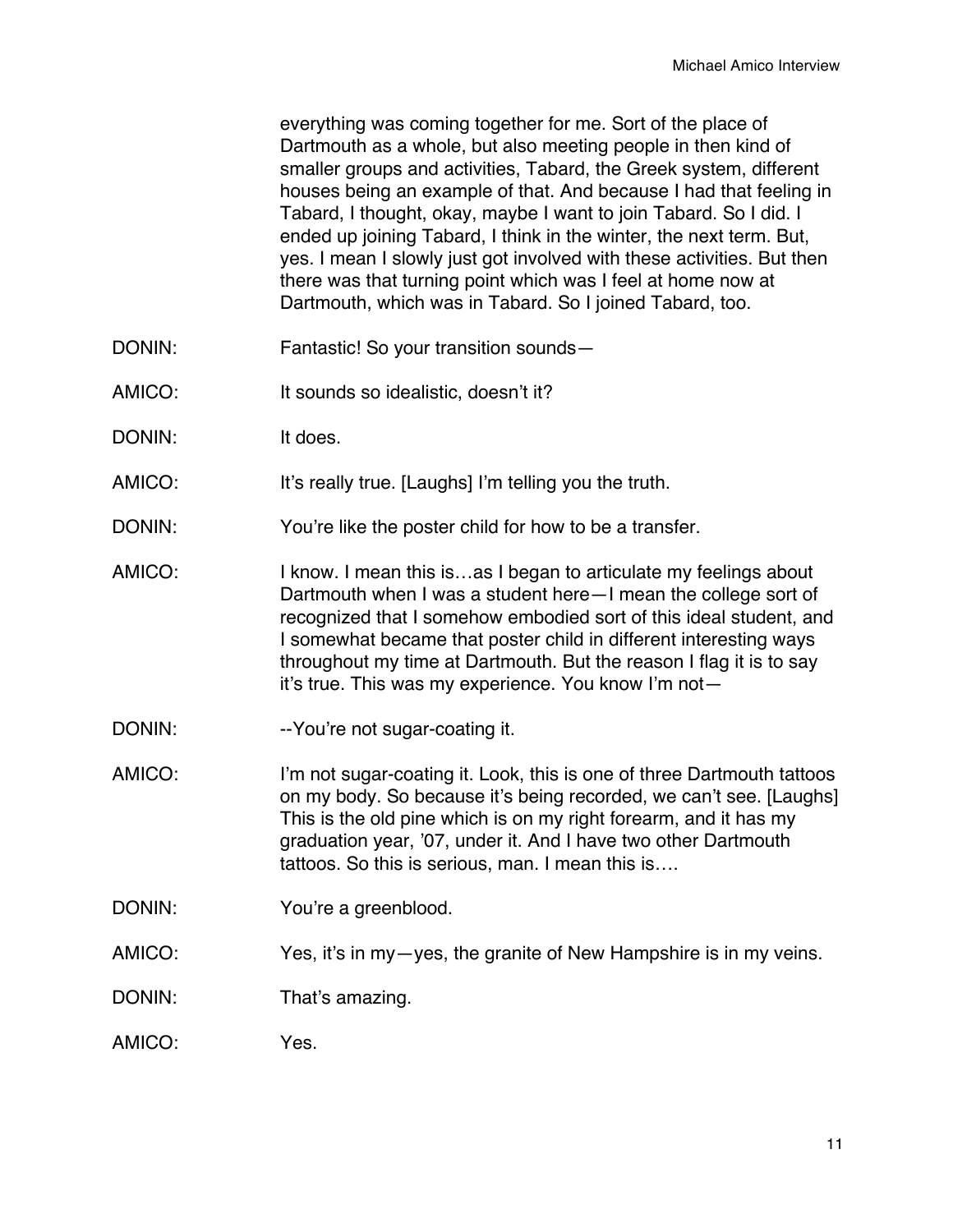everything was coming together for me. Sort of the place of Dartmouth as a whole, but also meeting people in then kind of smaller groups and activities, Tabard, the Greek system, different houses being an example of that. And because I had that feeling in Tabard, I thought, okay, maybe I want to join Tabard. So I did. I ended up joining Tabard, I think in the winter, the next term. But, yes. I mean I slowly just got involved with these activities. But then there was that turning point which was I feel at home now at Dartmouth, which was in Tabard. So I joined Tabard, too.

- DONIN: Fantastic! So your transition sounds—
- AMICO: It sounds so idealistic, doesn't it?
- DONIN: It does.
- AMICO: It's really true. [Laughs] I'm telling you the truth.
- DONIN: You're like the poster child for how to be a transfer.
- AMICO: I know. I mean this is...as I began to articulate my feelings about Dartmouth when I was a student here—I mean the college sort of recognized that I somehow embodied sort of this ideal student, and I somewhat became that poster child in different interesting ways throughout my time at Dartmouth. But the reason I flag it is to say it's true. This was my experience. You know I'm not—
- DONIN: --You're not sugar-coating it.
- AMICO: I'm not sugar-coating it. Look, this is one of three Dartmouth tattoos on my body. So because it's being recorded, we can't see. [Laughs] This is the old pine which is on my right forearm, and it has my graduation year, '07, under it. And I have two other Dartmouth tattoos. So this is serious, man. I mean this is….
- DONIN: You're a greenblood.
- AMICO: Yes, it's in my-yes, the granite of New Hampshire is in my veins.
- DONIN: That's amazing.
- AMICO: Yes.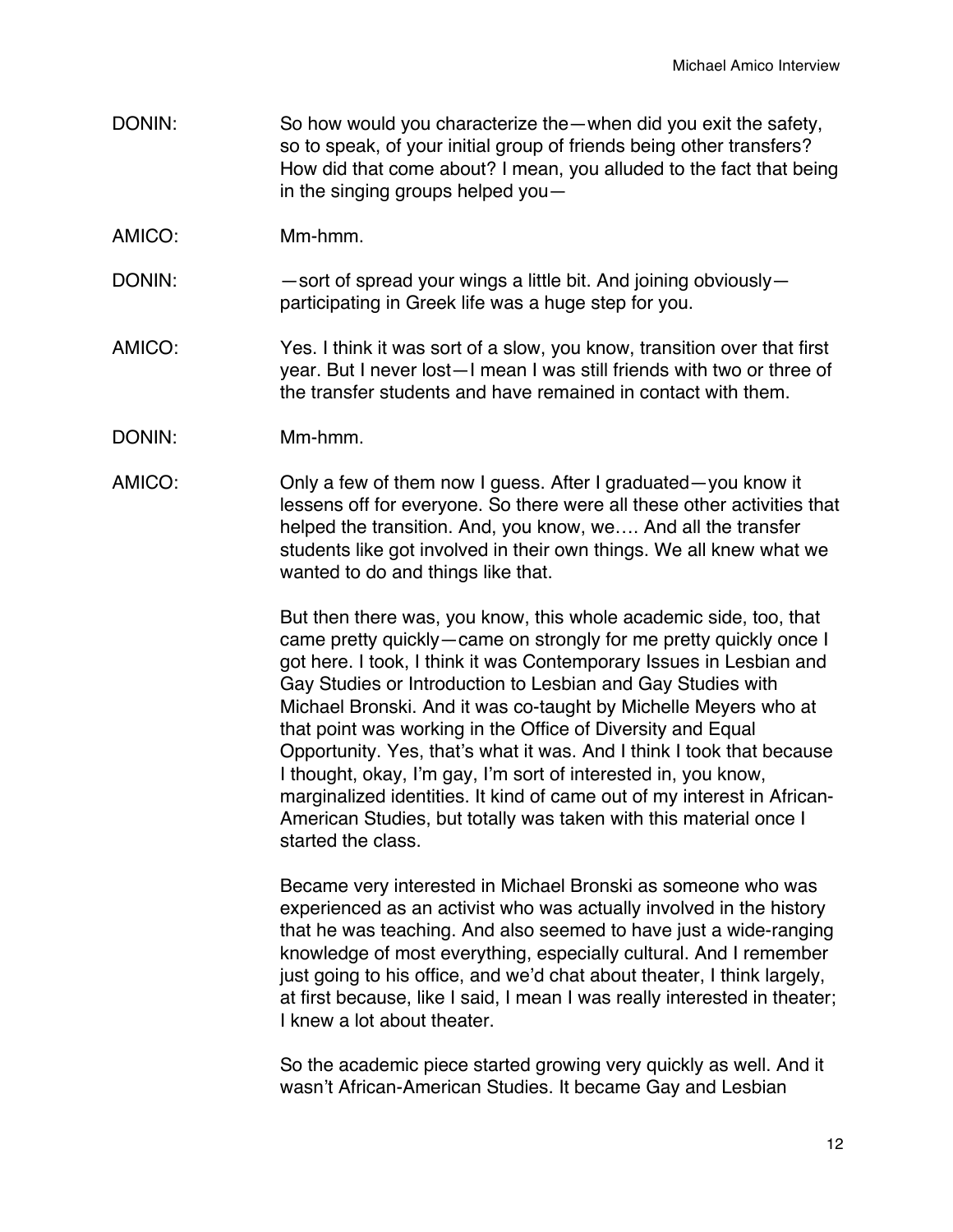- DONIN: So how would you characterize the—when did you exit the safety, so to speak, of your initial group of friends being other transfers? How did that come about? I mean, you alluded to the fact that being in the singing groups helped you—
- AMICO: Mm-hmm.
- DONIN: — sort of spread your wings a little bit. And joining obviously participating in Greek life was a huge step for you.
- AMICO: Yes. I think it was sort of a slow, you know, transition over that first year. But I never lost—I mean I was still friends with two or three of the transfer students and have remained in contact with them.
- DONIN: Mm-hmm.
- AMICO: Only a few of them now I guess. After I graduated—you know it lessens off for everyone. So there were all these other activities that helped the transition. And, you know, we…. And all the transfer students like got involved in their own things. We all knew what we wanted to do and things like that.

But then there was, you know, this whole academic side, too, that came pretty quickly—came on strongly for me pretty quickly once I got here. I took, I think it was Contemporary Issues in Lesbian and Gay Studies or Introduction to Lesbian and Gay Studies with Michael Bronski. And it was co-taught by Michelle Meyers who at that point was working in the Office of Diversity and Equal Opportunity. Yes, that's what it was. And I think I took that because I thought, okay, I'm gay, I'm sort of interested in, you know, marginalized identities. It kind of came out of my interest in African-American Studies, but totally was taken with this material once I started the class.

Became very interested in Michael Bronski as someone who was experienced as an activist who was actually involved in the history that he was teaching. And also seemed to have just a wide-ranging knowledge of most everything, especially cultural. And I remember just going to his office, and we'd chat about theater, I think largely, at first because, like I said, I mean I was really interested in theater; I knew a lot about theater.

So the academic piece started growing very quickly as well. And it wasn't African-American Studies. It became Gay and Lesbian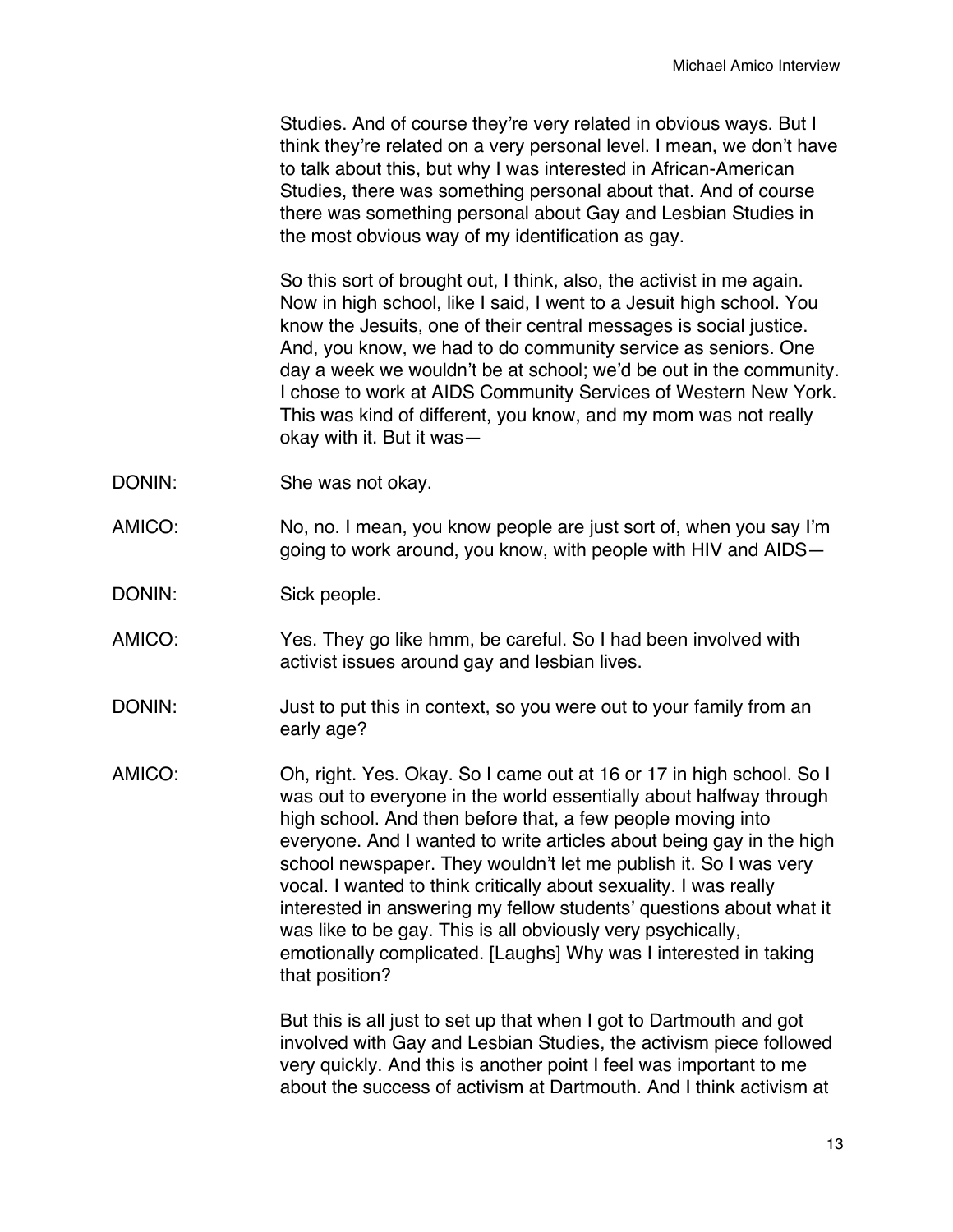Studies. And of course they're very related in obvious ways. But I think they're related on a very personal level. I mean, we don't have to talk about this, but why I was interested in African-American Studies, there was something personal about that. And of course there was something personal about Gay and Lesbian Studies in the most obvious way of my identification as gay.

So this sort of brought out, I think, also, the activist in me again. Now in high school, like I said, I went to a Jesuit high school. You know the Jesuits, one of their central messages is social justice. And, you know, we had to do community service as seniors. One day a week we wouldn't be at school; we'd be out in the community. I chose to work at AIDS Community Services of Western New York. This was kind of different, you know, and my mom was not really okay with it. But it was—

- DONIN: She was not okay.
- AMICO: No, no. I mean, you know people are just sort of, when you say I'm going to work around, you know, with people with HIV and AIDS—
- DONIN: Sick people.
- AMICO: Yes. They go like hmm, be careful. So I had been involved with activist issues around gay and lesbian lives.
- DONIN: Just to put this in context, so you were out to your family from an early age?
- AMICO: Oh, right. Yes. Okay. So I came out at 16 or 17 in high school. So I was out to everyone in the world essentially about halfway through high school. And then before that, a few people moving into everyone. And I wanted to write articles about being gay in the high school newspaper. They wouldn't let me publish it. So I was very vocal. I wanted to think critically about sexuality. I was really interested in answering my fellow students' questions about what it was like to be gay. This is all obviously very psychically, emotionally complicated. [Laughs] Why was I interested in taking that position?

But this is all just to set up that when I got to Dartmouth and got involved with Gay and Lesbian Studies, the activism piece followed very quickly. And this is another point I feel was important to me about the success of activism at Dartmouth. And I think activism at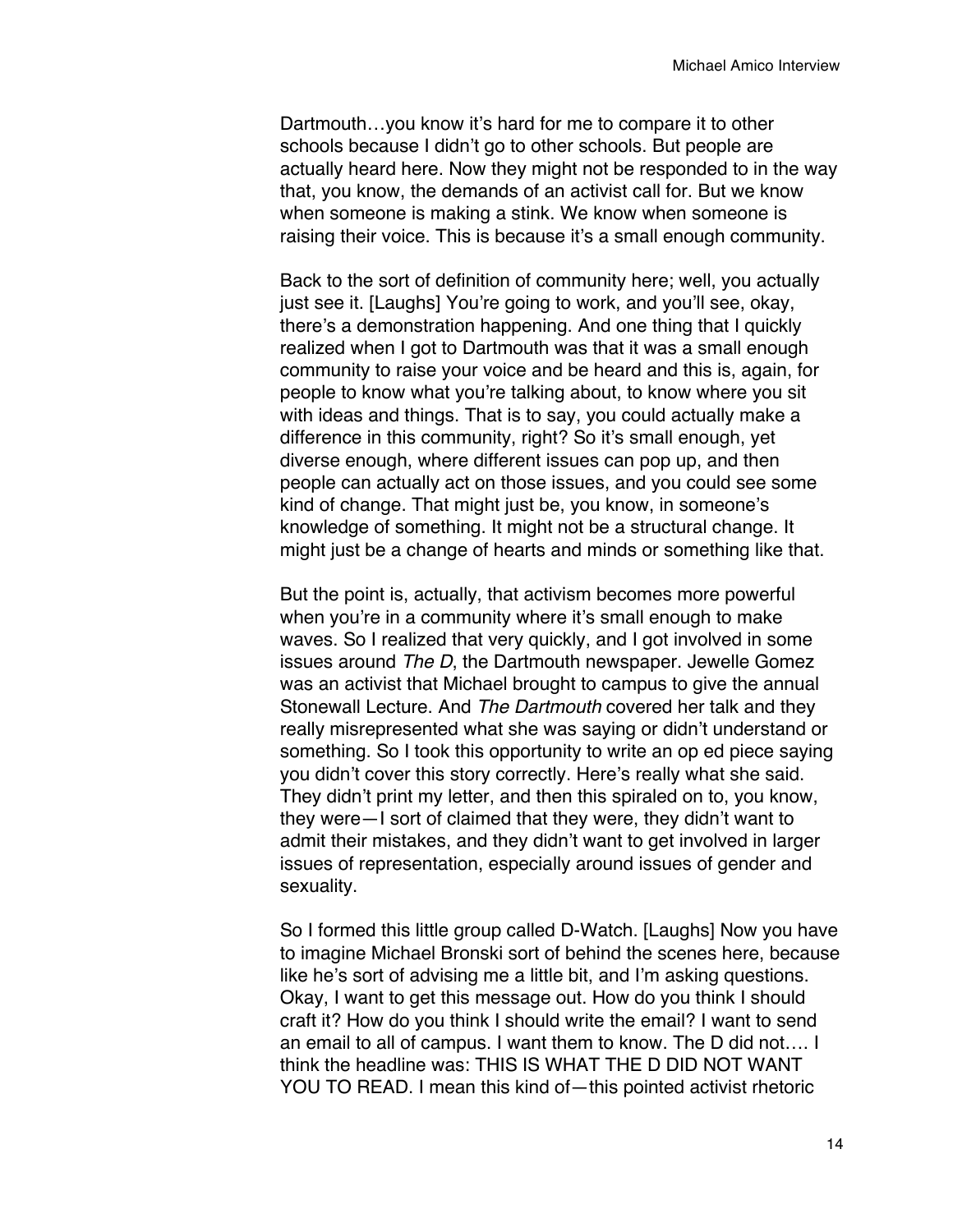Dartmouth…you know it's hard for me to compare it to other schools because I didn't go to other schools. But people are actually heard here. Now they might not be responded to in the way that, you know, the demands of an activist call for. But we know when someone is making a stink. We know when someone is raising their voice. This is because it's a small enough community.

Back to the sort of definition of community here; well, you actually just see it. [Laughs] You're going to work, and you'll see, okay, there's a demonstration happening. And one thing that I quickly realized when I got to Dartmouth was that it was a small enough community to raise your voice and be heard and this is, again, for people to know what you're talking about, to know where you sit with ideas and things. That is to say, you could actually make a difference in this community, right? So it's small enough, yet diverse enough, where different issues can pop up, and then people can actually act on those issues, and you could see some kind of change. That might just be, you know, in someone's knowledge of something. It might not be a structural change. It might just be a change of hearts and minds or something like that.

But the point is, actually, that activism becomes more powerful when you're in a community where it's small enough to make waves. So I realized that very quickly, and I got involved in some issues around *The D*, the Dartmouth newspaper. Jewelle Gomez was an activist that Michael brought to campus to give the annual Stonewall Lecture. And *The Dartmouth* covered her talk and they really misrepresented what she was saying or didn't understand or something. So I took this opportunity to write an op ed piece saying you didn't cover this story correctly. Here's really what she said. They didn't print my letter, and then this spiraled on to, you know, they were—I sort of claimed that they were, they didn't want to admit their mistakes, and they didn't want to get involved in larger issues of representation, especially around issues of gender and sexuality.

So I formed this little group called D-Watch. [Laughs] Now you have to imagine Michael Bronski sort of behind the scenes here, because like he's sort of advising me a little bit, and I'm asking questions. Okay, I want to get this message out. How do you think I should craft it? How do you think I should write the email? I want to send an email to all of campus. I want them to know. The D did not…. I think the headline was: THIS IS WHAT THE D DID NOT WANT YOU TO READ. I mean this kind of—this pointed activist rhetoric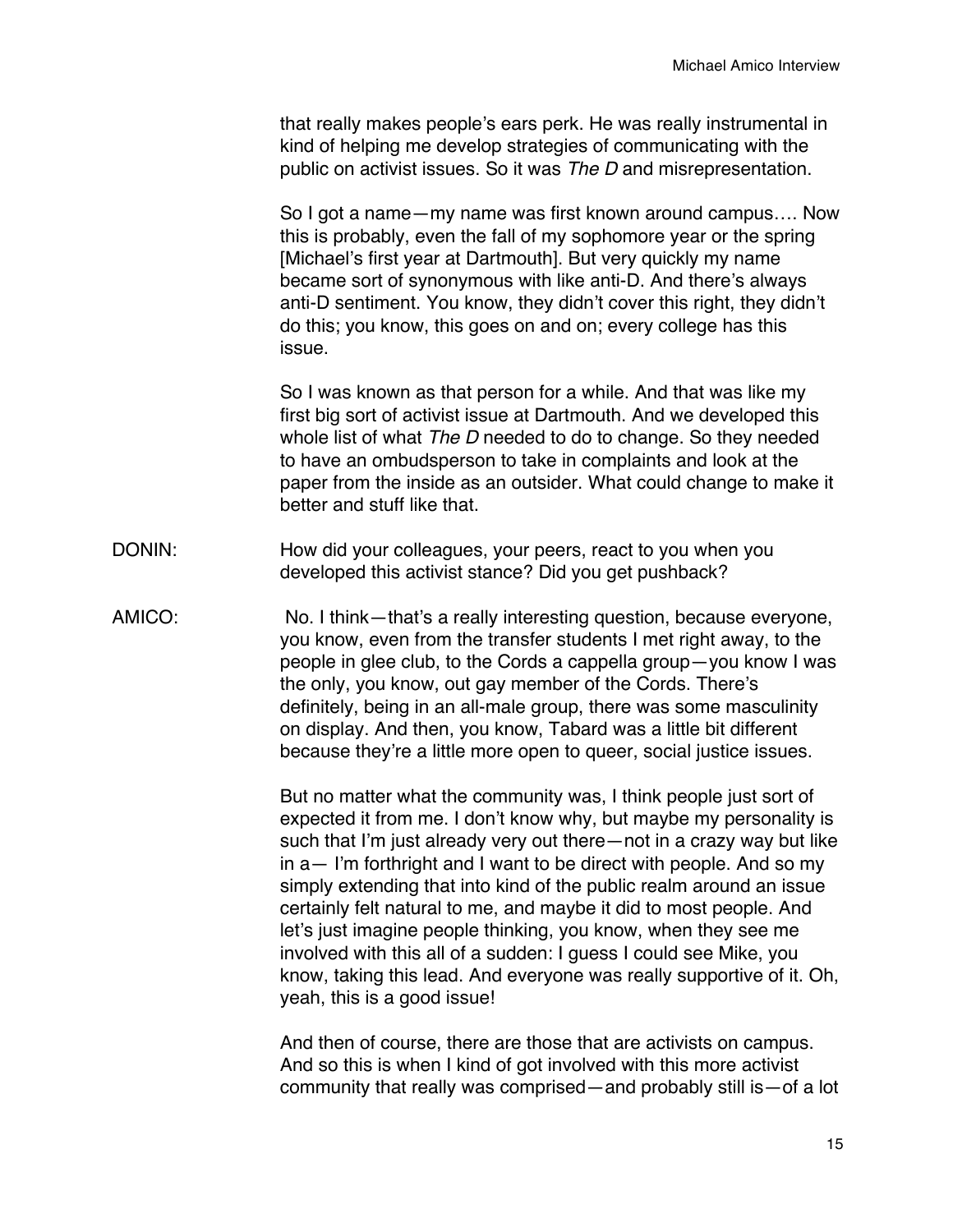that really makes people's ears perk. He was really instrumental in kind of helping me develop strategies of communicating with the public on activist issues. So it was *The D* and misrepresentation.

So I got a name—my name was first known around campus…. Now this is probably, even the fall of my sophomore year or the spring [Michael's first year at Dartmouth]. But very quickly my name became sort of synonymous with like anti-D. And there's always anti-D sentiment. You know, they didn't cover this right, they didn't do this; you know, this goes on and on; every college has this issue.

So I was known as that person for a while. And that was like my first big sort of activist issue at Dartmouth. And we developed this whole list of what *The D* needed to do to change. So they needed to have an ombudsperson to take in complaints and look at the paper from the inside as an outsider. What could change to make it better and stuff like that.

- DONIN: How did your colleagues, your peers, react to you when you developed this activist stance? Did you get pushback?
- AMICO: No. I think—that's a really interesting question, because everyone, you know, even from the transfer students I met right away, to the people in glee club, to the Cords a cappella group—you know I was the only, you know, out gay member of the Cords. There's definitely, being in an all-male group, there was some masculinity on display. And then, you know, Tabard was a little bit different because they're a little more open to queer, social justice issues.

But no matter what the community was, I think people just sort of expected it from me. I don't know why, but maybe my personality is such that I'm just already very out there—not in a crazy way but like in a— I'm forthright and I want to be direct with people. And so my simply extending that into kind of the public realm around an issue certainly felt natural to me, and maybe it did to most people. And let's just imagine people thinking, you know, when they see me involved with this all of a sudden: I guess I could see Mike, you know, taking this lead. And everyone was really supportive of it. Oh, yeah, this is a good issue!

And then of course, there are those that are activists on campus. And so this is when I kind of got involved with this more activist community that really was comprised—and probably still is—of a lot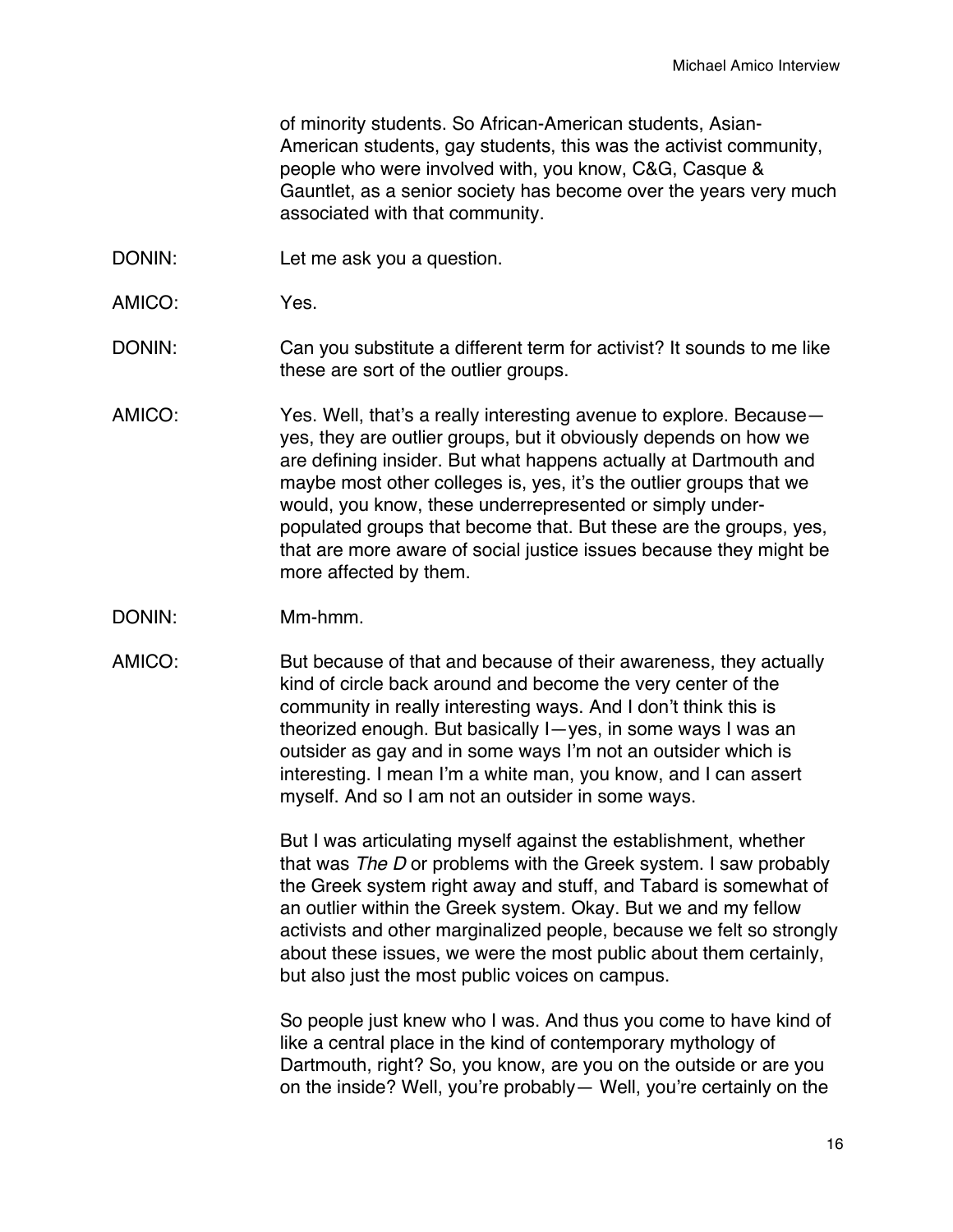of minority students. So African-American students, Asian-American students, gay students, this was the activist community, people who were involved with, you know, C&G, Casque & Gauntlet, as a senior society has become over the years very much associated with that community.

- DONIN: Let me ask you a question.
- AMICO: Yes.
- DONIN: Can you substitute a different term for activist? It sounds to me like these are sort of the outlier groups.
- AMICO: Yes. Well, that's a really interesting avenue to explore. Because yes, they are outlier groups, but it obviously depends on how we are defining insider. But what happens actually at Dartmouth and maybe most other colleges is, yes, it's the outlier groups that we would, you know, these underrepresented or simply underpopulated groups that become that. But these are the groups, yes, that are more aware of social justice issues because they might be more affected by them.
- DONIN: Mm-hmm.
- AMICO: But because of that and because of their awareness, they actually kind of circle back around and become the very center of the community in really interesting ways. And I don't think this is theorized enough. But basically I—yes, in some ways I was an outsider as gay and in some ways I'm not an outsider which is interesting. I mean I'm a white man, you know, and I can assert myself. And so I am not an outsider in some ways.

But I was articulating myself against the establishment, whether that was *The D* or problems with the Greek system. I saw probably the Greek system right away and stuff, and Tabard is somewhat of an outlier within the Greek system. Okay. But we and my fellow activists and other marginalized people, because we felt so strongly about these issues, we were the most public about them certainly, but also just the most public voices on campus.

So people just knew who I was. And thus you come to have kind of like a central place in the kind of contemporary mythology of Dartmouth, right? So, you know, are you on the outside or are you on the inside? Well, you're probably— Well, you're certainly on the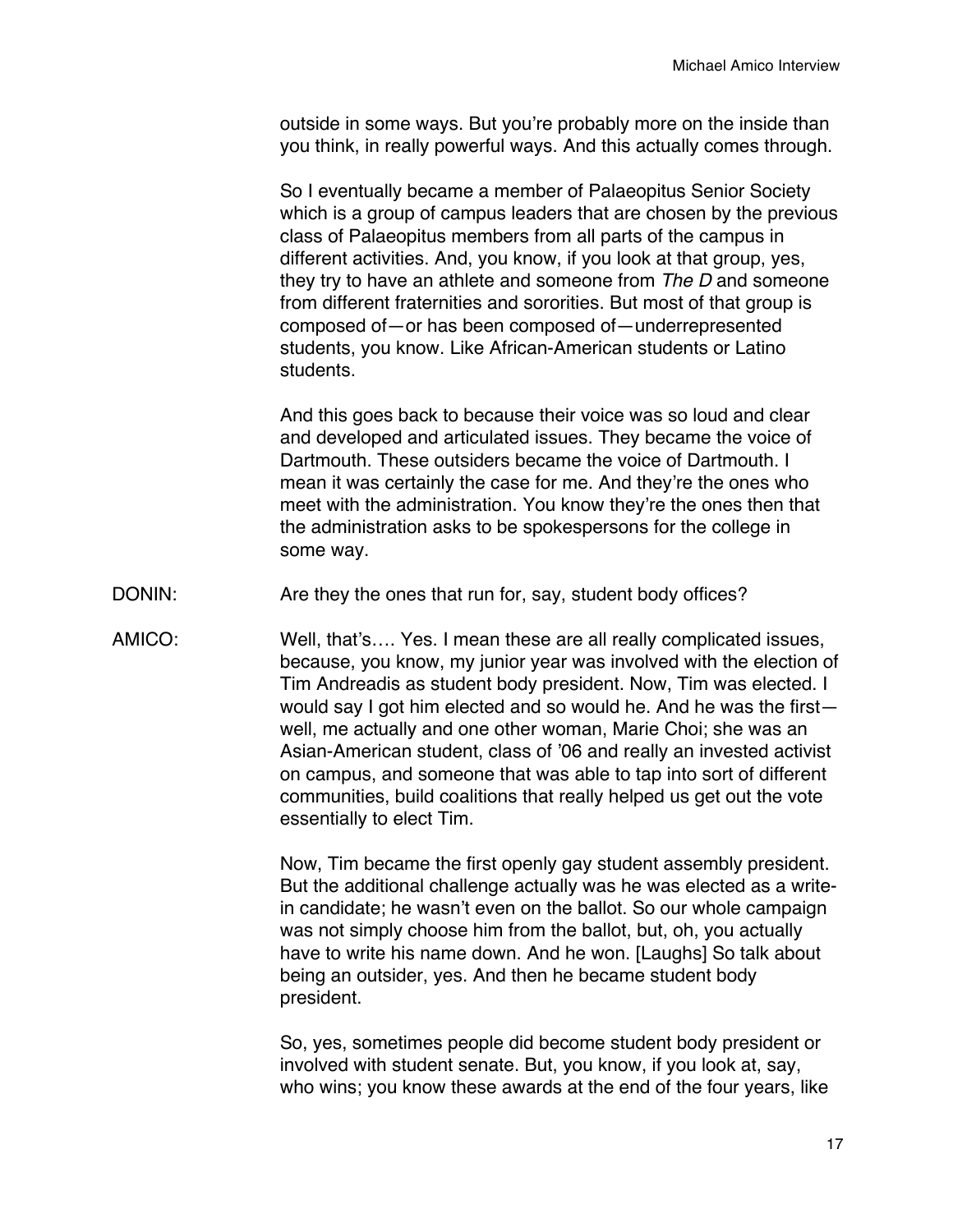outside in some ways. But you're probably more on the inside than you think, in really powerful ways. And this actually comes through.

So I eventually became a member of Palaeopitus Senior Society which is a group of campus leaders that are chosen by the previous class of Palaeopitus members from all parts of the campus in different activities. And, you know, if you look at that group, yes, they try to have an athlete and someone from *The D* and someone from different fraternities and sororities. But most of that group is composed of—or has been composed of—underrepresented students, you know. Like African-American students or Latino students.

And this goes back to because their voice was so loud and clear and developed and articulated issues. They became the voice of Dartmouth. These outsiders became the voice of Dartmouth. I mean it was certainly the case for me. And they're the ones who meet with the administration. You know they're the ones then that the administration asks to be spokespersons for the college in some way.

- DONIN: Are they the ones that run for, say, student body offices?
- AMICO: Well, that's…. Yes. I mean these are all really complicated issues, because, you know, my junior year was involved with the election of Tim Andreadis as student body president. Now, Tim was elected. I would say I got him elected and so would he. And he was the first well, me actually and one other woman, Marie Choi; she was an Asian-American student, class of '06 and really an invested activist on campus, and someone that was able to tap into sort of different communities, build coalitions that really helped us get out the vote essentially to elect Tim.

Now, Tim became the first openly gay student assembly president. But the additional challenge actually was he was elected as a writein candidate; he wasn't even on the ballot. So our whole campaign was not simply choose him from the ballot, but, oh, you actually have to write his name down. And he won. [Laughs] So talk about being an outsider, yes. And then he became student body president.

So, yes, sometimes people did become student body president or involved with student senate. But, you know, if you look at, say, who wins; you know these awards at the end of the four years, like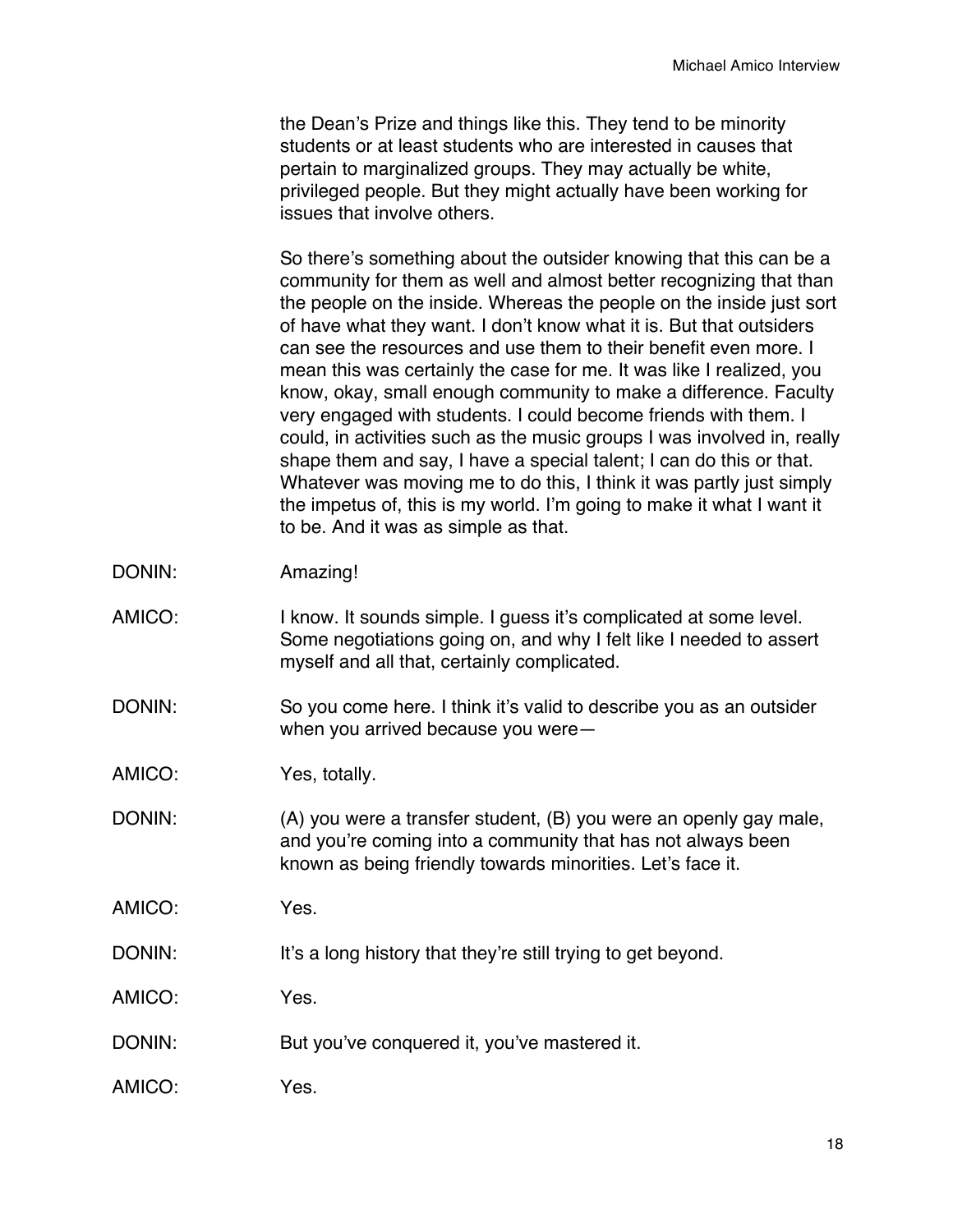the Dean's Prize and things like this. They tend to be minority students or at least students who are interested in causes that pertain to marginalized groups. They may actually be white, privileged people. But they might actually have been working for issues that involve others.

So there's something about the outsider knowing that this can be a community for them as well and almost better recognizing that than the people on the inside. Whereas the people on the inside just sort of have what they want. I don't know what it is. But that outsiders can see the resources and use them to their benefit even more. I mean this was certainly the case for me. It was like I realized, you know, okay, small enough community to make a difference. Faculty very engaged with students. I could become friends with them. I could, in activities such as the music groups I was involved in, really shape them and say, I have a special talent; I can do this or that. Whatever was moving me to do this, I think it was partly just simply the impetus of, this is my world. I'm going to make it what I want it to be. And it was as simple as that.

- DONIN: Amazing!
- AMICO: I know. It sounds simple. I quess it's complicated at some level. Some negotiations going on, and why I felt like I needed to assert myself and all that, certainly complicated.
- DONIN: So you come here. I think it's valid to describe you as an outsider when you arrived because you were—
- AMICO: Yes, totally.
- DONIN: (A) you were a transfer student, (B) you were an openly gay male, and you're coming into a community that has not always been known as being friendly towards minorities. Let's face it.
- AMICO: Yes.
- DONIN: It's a long history that they're still trying to get beyond.
- AMICO: Yes.
- DONIN: But you've conquered it, you've mastered it.
- AMICO: Yes.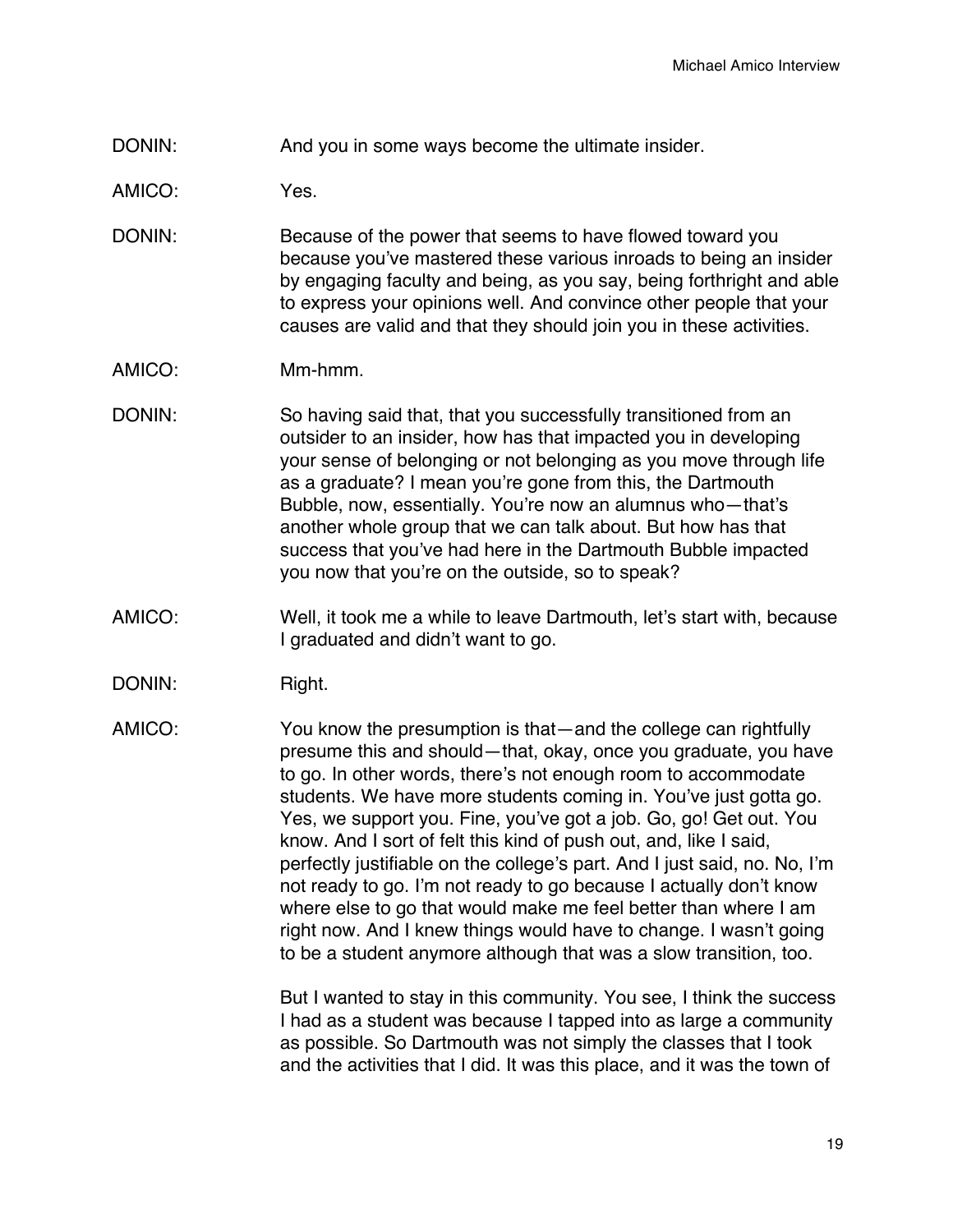DONIN: And you in some ways become the ultimate insider.

AMICO: Yes.

- DONIN: Because of the power that seems to have flowed toward you because you've mastered these various inroads to being an insider by engaging faculty and being, as you say, being forthright and able to express your opinions well. And convince other people that your causes are valid and that they should join you in these activities.
- AMICO: Mm-hmm.
- DONIN: So having said that, that you successfully transitioned from an outsider to an insider, how has that impacted you in developing your sense of belonging or not belonging as you move through life as a graduate? I mean you're gone from this, the Dartmouth Bubble, now, essentially. You're now an alumnus who—that's another whole group that we can talk about. But how has that success that you've had here in the Dartmouth Bubble impacted you now that you're on the outside, so to speak?
- AMICO: Well, it took me a while to leave Dartmouth, let's start with, because I graduated and didn't want to go.
- DONIN: Right.
- AMICO: You know the presumption is that—and the college can rightfully presume this and should—that, okay, once you graduate, you have to go. In other words, there's not enough room to accommodate students. We have more students coming in. You've just gotta go. Yes, we support you. Fine, you've got a job. Go, go! Get out. You know. And I sort of felt this kind of push out, and, like I said, perfectly justifiable on the college's part. And I just said, no. No, I'm not ready to go. I'm not ready to go because I actually don't know where else to go that would make me feel better than where I am right now. And I knew things would have to change. I wasn't going to be a student anymore although that was a slow transition, too.

But I wanted to stay in this community. You see, I think the success I had as a student was because I tapped into as large a community as possible. So Dartmouth was not simply the classes that I took and the activities that I did. It was this place, and it was the town of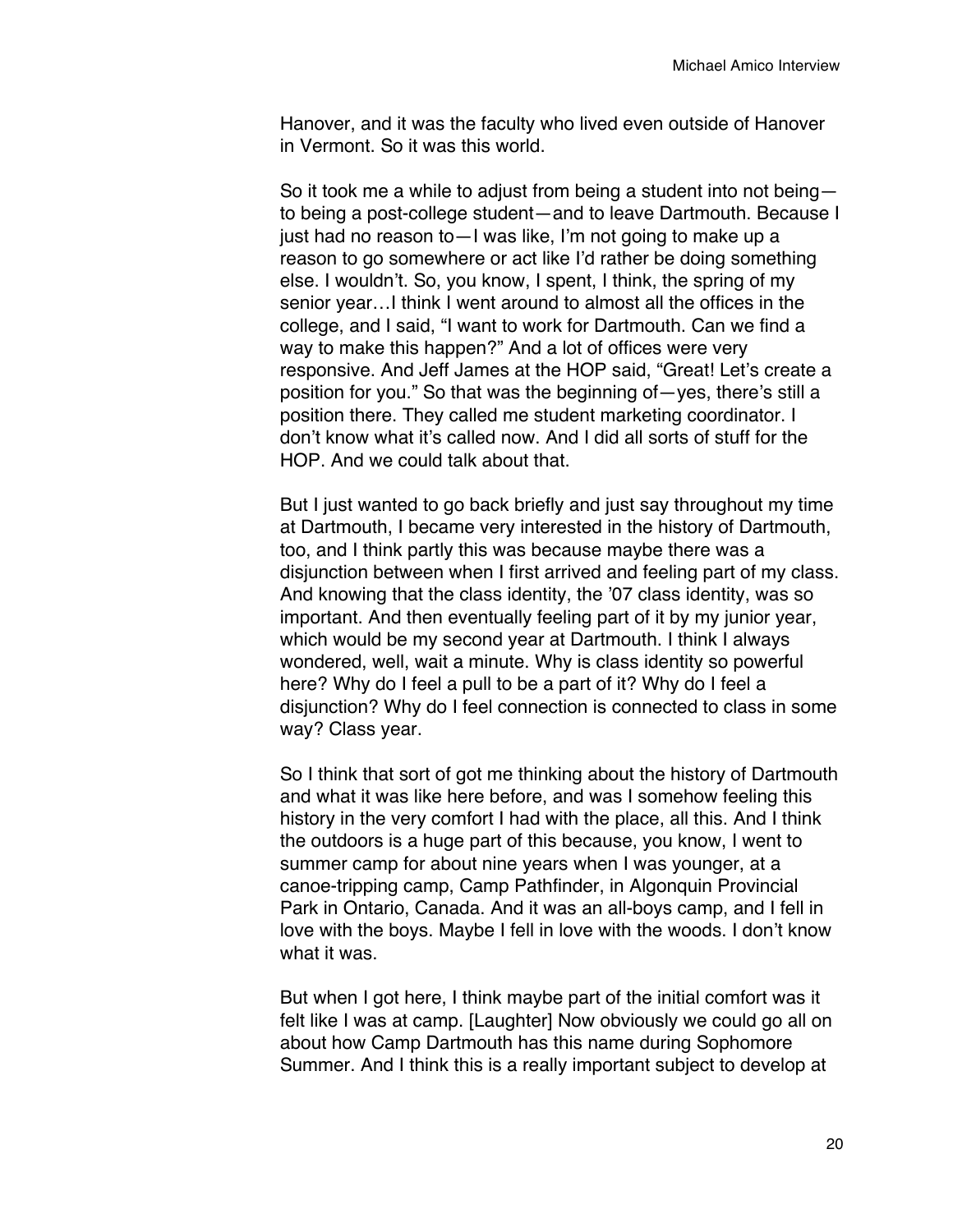Hanover, and it was the faculty who lived even outside of Hanover in Vermont. So it was this world.

So it took me a while to adjust from being a student into not being to being a post-college student—and to leave Dartmouth. Because I just had no reason to—I was like, I'm not going to make up a reason to go somewhere or act like I'd rather be doing something else. I wouldn't. So, you know, I spent, I think, the spring of my senior year…I think I went around to almost all the offices in the college, and I said, "I want to work for Dartmouth. Can we find a way to make this happen?" And a lot of offices were very responsive. And Jeff James at the HOP said, "Great! Let's create a position for you." So that was the beginning of—yes, there's still a position there. They called me student marketing coordinator. I don't know what it's called now. And I did all sorts of stuff for the HOP. And we could talk about that.

But I just wanted to go back briefly and just say throughout my time at Dartmouth, I became very interested in the history of Dartmouth, too, and I think partly this was because maybe there was a disjunction between when I first arrived and feeling part of my class. And knowing that the class identity, the '07 class identity, was so important. And then eventually feeling part of it by my junior year, which would be my second year at Dartmouth. I think I always wondered, well, wait a minute. Why is class identity so powerful here? Why do I feel a pull to be a part of it? Why do I feel a disjunction? Why do I feel connection is connected to class in some way? Class year.

So I think that sort of got me thinking about the history of Dartmouth and what it was like here before, and was I somehow feeling this history in the very comfort I had with the place, all this. And I think the outdoors is a huge part of this because, you know, I went to summer camp for about nine years when I was younger, at a canoe-tripping camp, Camp Pathfinder, in Algonquin Provincial Park in Ontario, Canada. And it was an all-boys camp, and I fell in love with the boys. Maybe I fell in love with the woods. I don't know what it was.

But when I got here, I think maybe part of the initial comfort was it felt like I was at camp. [Laughter] Now obviously we could go all on about how Camp Dartmouth has this name during Sophomore Summer. And I think this is a really important subject to develop at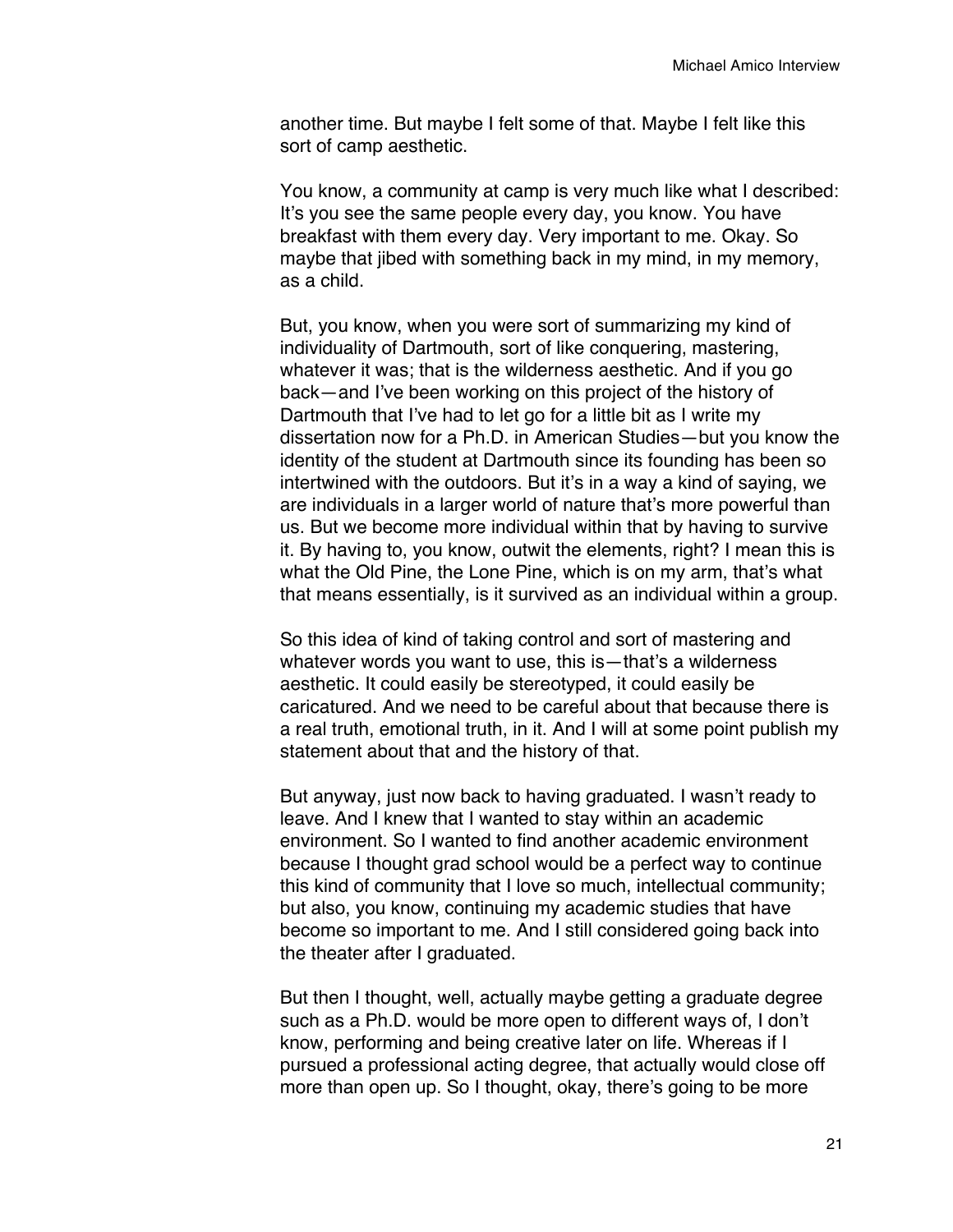another time. But maybe I felt some of that. Maybe I felt like this sort of camp aesthetic.

You know, a community at camp is very much like what I described: It's you see the same people every day, you know. You have breakfast with them every day. Very important to me. Okay. So maybe that jibed with something back in my mind, in my memory, as a child.

But, you know, when you were sort of summarizing my kind of individuality of Dartmouth, sort of like conquering, mastering, whatever it was; that is the wilderness aesthetic. And if you go back—and I've been working on this project of the history of Dartmouth that I've had to let go for a little bit as I write my dissertation now for a Ph.D. in American Studies—but you know the identity of the student at Dartmouth since its founding has been so intertwined with the outdoors. But it's in a way a kind of saying, we are individuals in a larger world of nature that's more powerful than us. But we become more individual within that by having to survive it. By having to, you know, outwit the elements, right? I mean this is what the Old Pine, the Lone Pine, which is on my arm, that's what that means essentially, is it survived as an individual within a group.

So this idea of kind of taking control and sort of mastering and whatever words you want to use, this is—that's a wilderness aesthetic. It could easily be stereotyped, it could easily be caricatured. And we need to be careful about that because there is a real truth, emotional truth, in it. And I will at some point publish my statement about that and the history of that.

But anyway, just now back to having graduated. I wasn't ready to leave. And I knew that I wanted to stay within an academic environment. So I wanted to find another academic environment because I thought grad school would be a perfect way to continue this kind of community that I love so much, intellectual community; but also, you know, continuing my academic studies that have become so important to me. And I still considered going back into the theater after I graduated.

But then I thought, well, actually maybe getting a graduate degree such as a Ph.D. would be more open to different ways of, I don't know, performing and being creative later on life. Whereas if I pursued a professional acting degree, that actually would close off more than open up. So I thought, okay, there's going to be more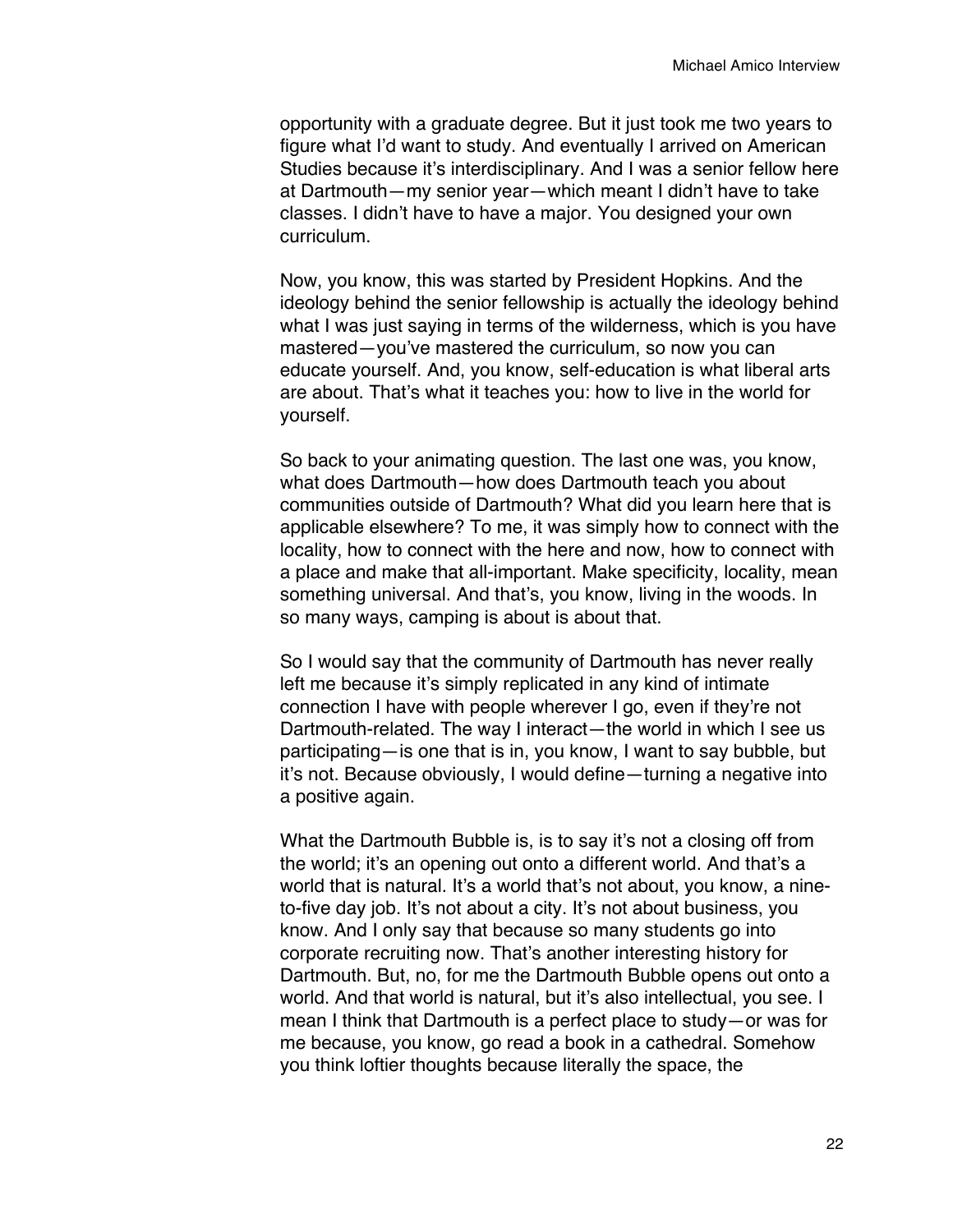opportunity with a graduate degree. But it just took me two years to figure what I'd want to study. And eventually I arrived on American Studies because it's interdisciplinary. And I was a senior fellow here at Dartmouth—my senior year—which meant I didn't have to take classes. I didn't have to have a major. You designed your own curriculum.

Now, you know, this was started by President Hopkins. And the ideology behind the senior fellowship is actually the ideology behind what I was just saying in terms of the wilderness, which is you have mastered—you've mastered the curriculum, so now you can educate yourself. And, you know, self-education is what liberal arts are about. That's what it teaches you: how to live in the world for yourself.

So back to your animating question. The last one was, you know, what does Dartmouth—how does Dartmouth teach you about communities outside of Dartmouth? What did you learn here that is applicable elsewhere? To me, it was simply how to connect with the locality, how to connect with the here and now, how to connect with a place and make that all-important. Make specificity, locality, mean something universal. And that's, you know, living in the woods. In so many ways, camping is about is about that.

So I would say that the community of Dartmouth has never really left me because it's simply replicated in any kind of intimate connection I have with people wherever I go, even if they're not Dartmouth-related. The way I interact—the world in which I see us participating—is one that is in, you know, I want to say bubble, but it's not. Because obviously, I would define—turning a negative into a positive again.

What the Dartmouth Bubble is, is to say it's not a closing off from the world; it's an opening out onto a different world. And that's a world that is natural. It's a world that's not about, you know, a nineto-five day job. It's not about a city. It's not about business, you know. And I only say that because so many students go into corporate recruiting now. That's another interesting history for Dartmouth. But, no, for me the Dartmouth Bubble opens out onto a world. And that world is natural, but it's also intellectual, you see. I mean I think that Dartmouth is a perfect place to study—or was for me because, you know, go read a book in a cathedral. Somehow you think loftier thoughts because literally the space, the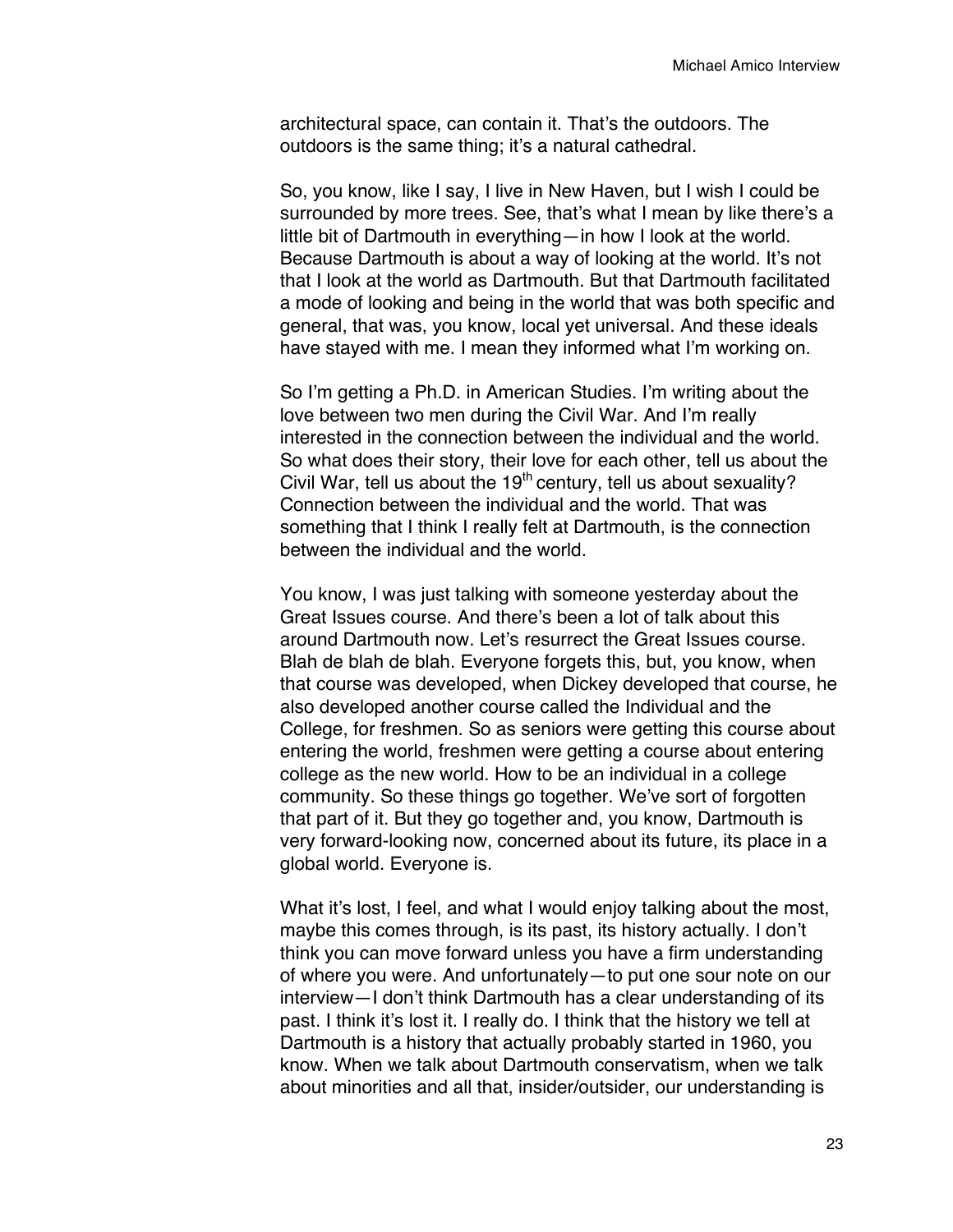architectural space, can contain it. That's the outdoors. The outdoors is the same thing; it's a natural cathedral.

So, you know, like I say, I live in New Haven, but I wish I could be surrounded by more trees. See, that's what I mean by like there's a little bit of Dartmouth in everything—in how I look at the world. Because Dartmouth is about a way of looking at the world. It's not that I look at the world as Dartmouth. But that Dartmouth facilitated a mode of looking and being in the world that was both specific and general, that was, you know, local yet universal. And these ideals have stayed with me. I mean they informed what I'm working on.

So I'm getting a Ph.D. in American Studies. I'm writing about the love between two men during the Civil War. And I'm really interested in the connection between the individual and the world. So what does their story, their love for each other, tell us about the Civil War, tell us about the  $19<sup>th</sup>$  century, tell us about sexuality? Connection between the individual and the world. That was something that I think I really felt at Dartmouth, is the connection between the individual and the world.

You know, I was just talking with someone yesterday about the Great Issues course. And there's been a lot of talk about this around Dartmouth now. Let's resurrect the Great Issues course. Blah de blah de blah. Everyone forgets this, but, you know, when that course was developed, when Dickey developed that course, he also developed another course called the Individual and the College, for freshmen. So as seniors were getting this course about entering the world, freshmen were getting a course about entering college as the new world. How to be an individual in a college community. So these things go together. We've sort of forgotten that part of it. But they go together and, you know, Dartmouth is very forward-looking now, concerned about its future, its place in a global world. Everyone is.

What it's lost, I feel, and what I would enjoy talking about the most, maybe this comes through, is its past, its history actually. I don't think you can move forward unless you have a firm understanding of where you were. And unfortunately—to put one sour note on our interview—I don't think Dartmouth has a clear understanding of its past. I think it's lost it. I really do. I think that the history we tell at Dartmouth is a history that actually probably started in 1960, you know. When we talk about Dartmouth conservatism, when we talk about minorities and all that, insider/outsider, our understanding is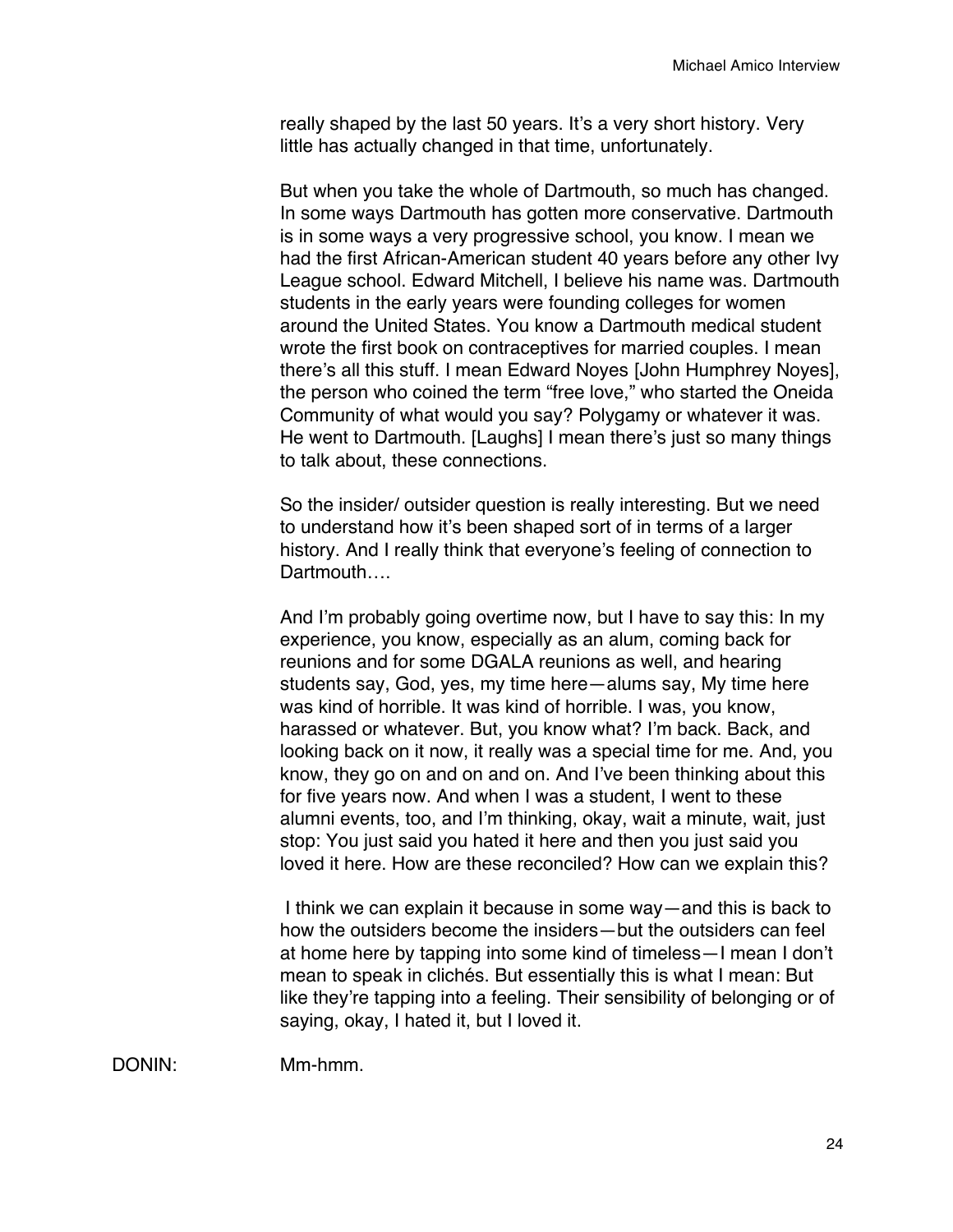really shaped by the last 50 years. It's a very short history. Very little has actually changed in that time, unfortunately.

But when you take the whole of Dartmouth, so much has changed. In some ways Dartmouth has gotten more conservative. Dartmouth is in some ways a very progressive school, you know. I mean we had the first African-American student 40 years before any other Ivy League school. Edward Mitchell, I believe his name was. Dartmouth students in the early years were founding colleges for women around the United States. You know a Dartmouth medical student wrote the first book on contraceptives for married couples. I mean there's all this stuff. I mean Edward Noyes [John Humphrey Noyes], the person who coined the term "free love," who started the Oneida Community of what would you say? Polygamy or whatever it was. He went to Dartmouth. [Laughs] I mean there's just so many things to talk about, these connections.

So the insider/ outsider question is really interesting. But we need to understand how it's been shaped sort of in terms of a larger history. And I really think that everyone's feeling of connection to Dartmouth….

And I'm probably going overtime now, but I have to say this: In my experience, you know, especially as an alum, coming back for reunions and for some DGALA reunions as well, and hearing students say, God, yes, my time here—alums say, My time here was kind of horrible. It was kind of horrible. I was, you know, harassed or whatever. But, you know what? I'm back. Back, and looking back on it now, it really was a special time for me. And, you know, they go on and on and on. And I've been thinking about this for five years now. And when I was a student, I went to these alumni events, too, and I'm thinking, okay, wait a minute, wait, just stop: You just said you hated it here and then you just said you loved it here. How are these reconciled? How can we explain this?

I think we can explain it because in some way—and this is back to how the outsiders become the insiders—but the outsiders can feel at home here by tapping into some kind of timeless—I mean I don't mean to speak in clichés. But essentially this is what I mean: But like they're tapping into a feeling. Their sensibility of belonging or of saying, okay, I hated it, but I loved it.

DONIN: Mm-hmm.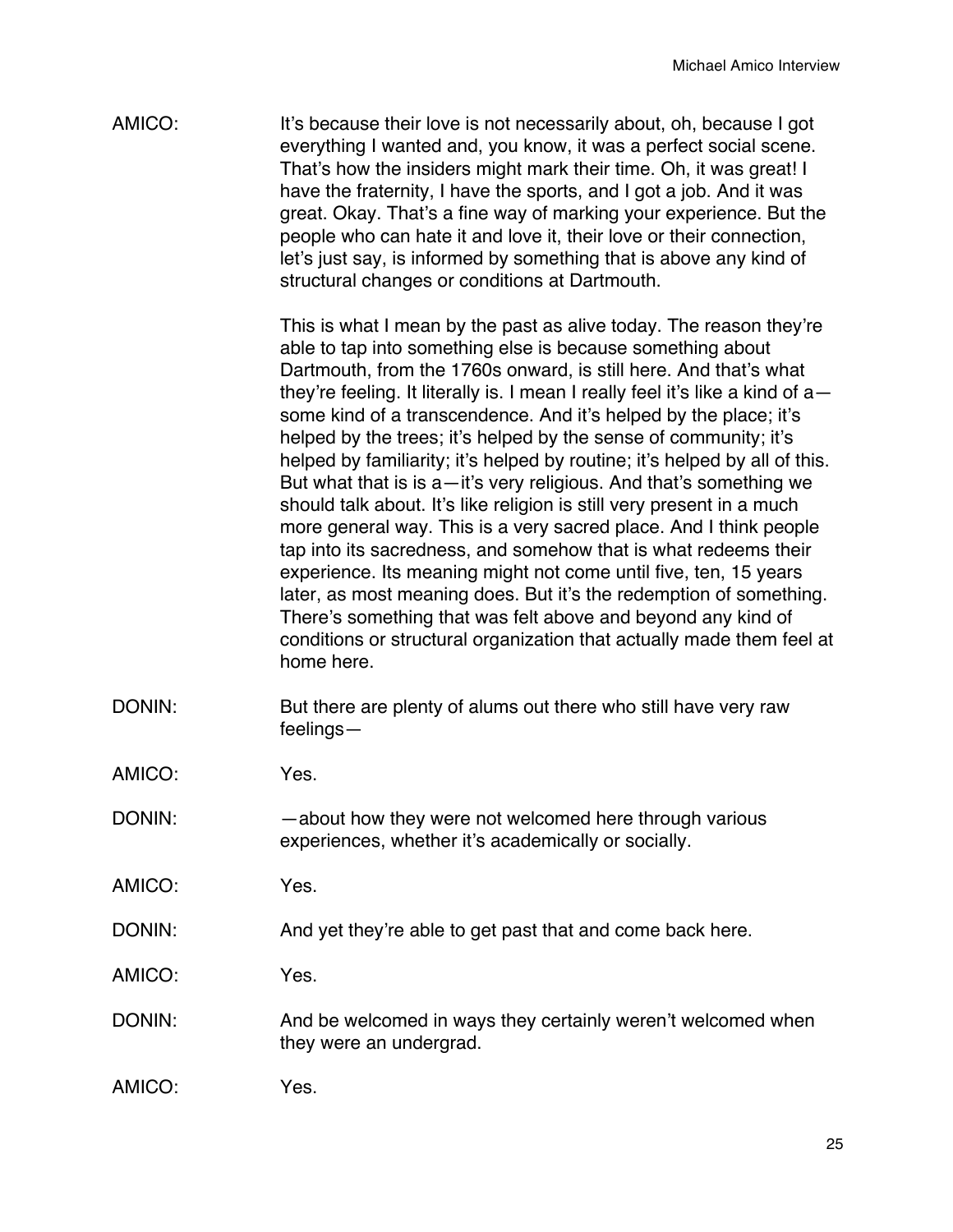AMICO: It's because their love is not necessarily about, oh, because I got everything I wanted and, you know, it was a perfect social scene. That's how the insiders might mark their time. Oh, it was great! I have the fraternity, I have the sports, and I got a job. And it was great. Okay. That's a fine way of marking your experience. But the people who can hate it and love it, their love or their connection, let's just say, is informed by something that is above any kind of structural changes or conditions at Dartmouth.

> This is what I mean by the past as alive today. The reason they're able to tap into something else is because something about Dartmouth, from the 1760s onward, is still here. And that's what they're feeling. It literally is. I mean I really feel it's like a kind of a some kind of a transcendence. And it's helped by the place; it's helped by the trees; it's helped by the sense of community; it's helped by familiarity; it's helped by routine; it's helped by all of this. But what that is is a—it's very religious. And that's something we should talk about. It's like religion is still very present in a much more general way. This is a very sacred place. And I think people tap into its sacredness, and somehow that is what redeems their experience. Its meaning might not come until five, ten, 15 years later, as most meaning does. But it's the redemption of something. There's something that was felt above and beyond any kind of conditions or structural organization that actually made them feel at home here.

- DONIN: But there are plenty of alums out there who still have very raw feelings—
- AMICO: Yes.
- DONIN: about how they were not welcomed here through various experiences, whether it's academically or socially.

AMICO: Yes.

DONIN: And yet they're able to get past that and come back here.

AMICO: Yes.

- DONIN: And be welcomed in ways they certainly weren't welcomed when they were an undergrad.
- AMICO: Yes.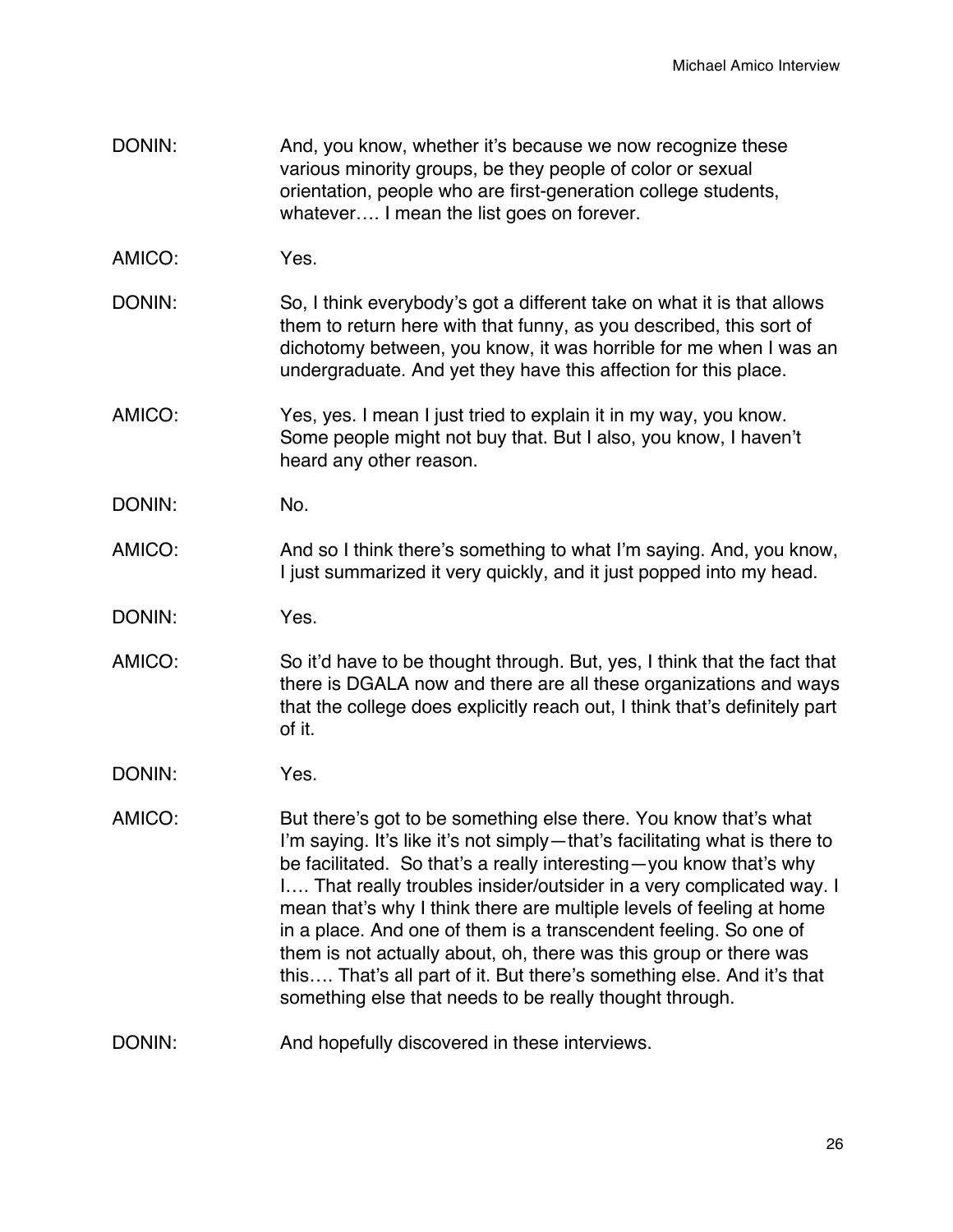- DONIN: And, you know, whether it's because we now recognize these various minority groups, be they people of color or sexual orientation, people who are first-generation college students, whatever…. I mean the list goes on forever.
- AMICO: Yes.
- DONIN: So, I think everybody's got a different take on what it is that allows them to return here with that funny, as you described, this sort of dichotomy between, you know, it was horrible for me when I was an undergraduate. And yet they have this affection for this place.
- AMICO: Yes, yes. I mean I just tried to explain it in my way, you know. Some people might not buy that. But I also, you know, I haven't heard any other reason.
- DONIN: No.
- AMICO: And so I think there's something to what I'm saying. And, you know, I just summarized it very quickly, and it just popped into my head.
- DONIN: Yes.
- AMICO: So it'd have to be thought through. But, yes, I think that the fact that there is DGALA now and there are all these organizations and ways that the college does explicitly reach out, I think that's definitely part of it.
- DONIN: Yes.
- AMICO: But there's got to be something else there. You know that's what I'm saying. It's like it's not simply—that's facilitating what is there to be facilitated. So that's a really interesting—you know that's why I…. That really troubles insider/outsider in a very complicated way. I mean that's why I think there are multiple levels of feeling at home in a place. And one of them is a transcendent feeling. So one of them is not actually about, oh, there was this group or there was this…. That's all part of it. But there's something else. And it's that something else that needs to be really thought through.
- DONIN: And hopefully discovered in these interviews.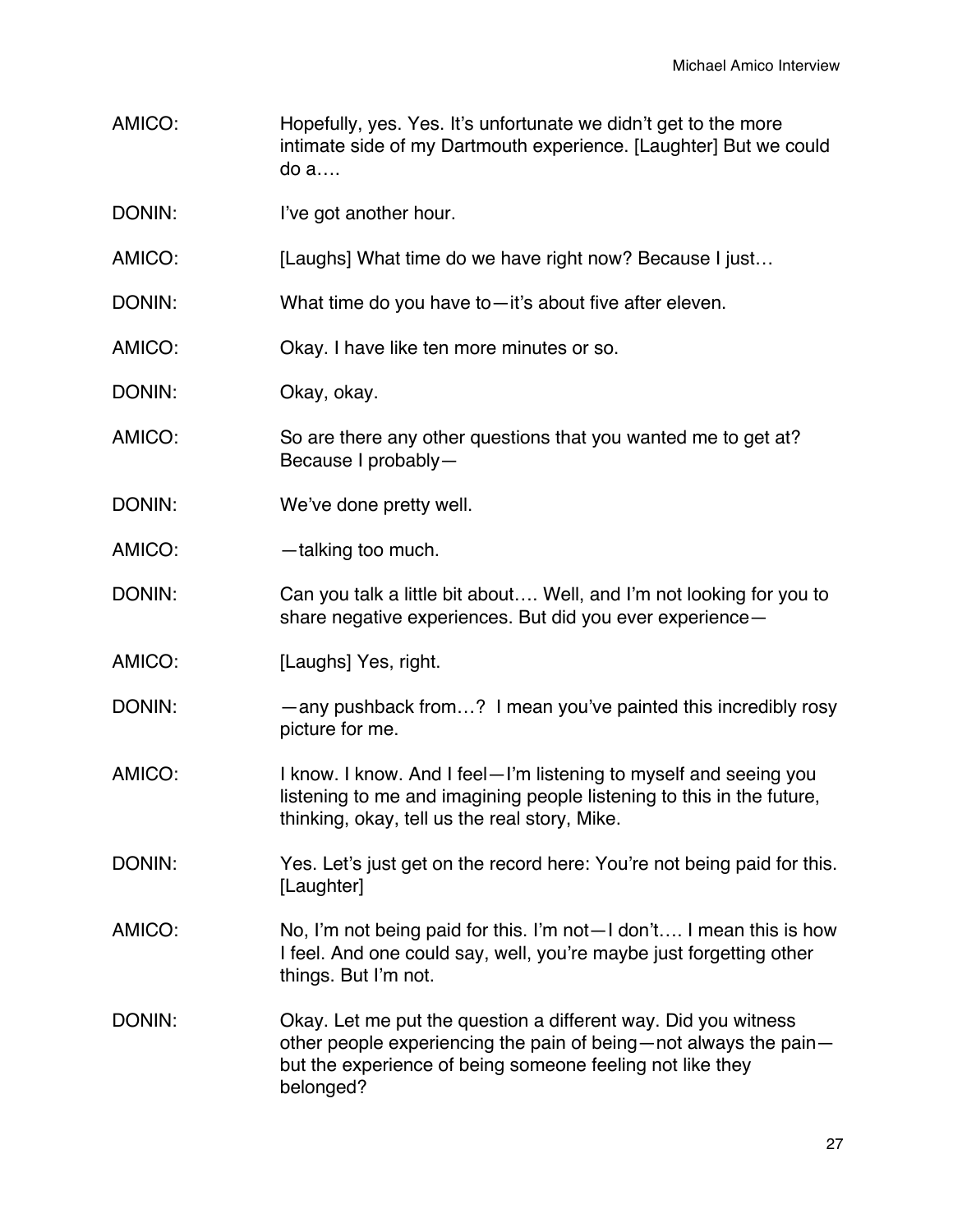- AMICO: Hopefully, yes. Yes. It's unfortunate we didn't get to the more intimate side of my Dartmouth experience. [Laughter] But we could do a….
- DONIN: I've got another hour.
- AMICO: [Laughs] What time do we have right now? Because I just...

DONIN: What time do you have to—it's about five after eleven.

- AMICO: Okay. I have like ten more minutes or so.
- DONIN: Okay, okay.
- AMICO: So are there any other questions that you wanted me to get at? Because I probably—
- DONIN: We've done pretty well.
- AMICO: — talking too much.
- DONIN: Can you talk a little bit about.... Well, and I'm not looking for you to share negative experiences. But did you ever experience—
- AMICO: [Laughs] Yes, right.
- DONIN: — any pushback from...? I mean you've painted this incredibly rosy picture for me.
- AMICO: I know. I know. And I feel—I'm listening to myself and seeing you listening to me and imagining people listening to this in the future, thinking, okay, tell us the real story, Mike.
- DONIN: Yes. Let's just get on the record here: You're not being paid for this. [Laughter]
- AMICO: No, I'm not being paid for this. I'm not—I don't…. I mean this is how I feel. And one could say, well, you're maybe just forgetting other things. But I'm not.
- DONIN: Okay. Let me put the question a different way. Did you witness other people experiencing the pain of being—not always the pain but the experience of being someone feeling not like they belonged?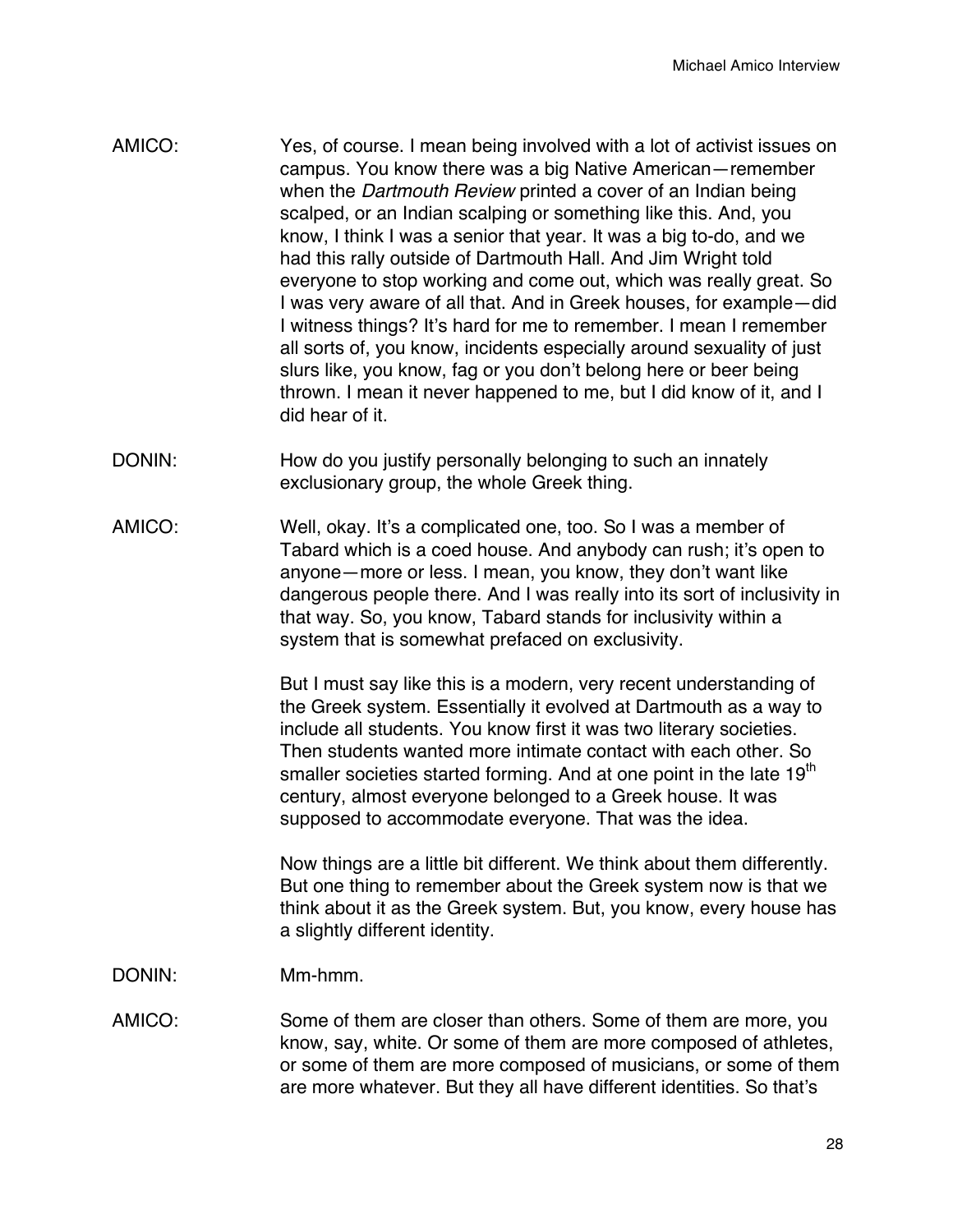- AMICO: Yes, of course. I mean being involved with a lot of activist issues on campus. You know there was a big Native American—remember when the *Dartmouth Review* printed a cover of an Indian being scalped, or an Indian scalping or something like this. And, you know, I think I was a senior that year. It was a big to-do, and we had this rally outside of Dartmouth Hall. And Jim Wright told everyone to stop working and come out, which was really great. So I was very aware of all that. And in Greek houses, for example—did I witness things? It's hard for me to remember. I mean I remember all sorts of, you know, incidents especially around sexuality of just slurs like, you know, fag or you don't belong here or beer being thrown. I mean it never happened to me, but I did know of it, and I did hear of it.
- DONIN: How do you justify personally belonging to such an innately exclusionary group, the whole Greek thing.
- AMICO: Well, okay. It's a complicated one, too. So I was a member of Tabard which is a coed house. And anybody can rush; it's open to anyone—more or less. I mean, you know, they don't want like dangerous people there. And I was really into its sort of inclusivity in that way. So, you know, Tabard stands for inclusivity within a system that is somewhat prefaced on exclusivity.

But I must say like this is a modern, very recent understanding of the Greek system. Essentially it evolved at Dartmouth as a way to include all students. You know first it was two literary societies. Then students wanted more intimate contact with each other. So smaller societies started forming. And at one point in the late 19<sup>th</sup> century, almost everyone belonged to a Greek house. It was supposed to accommodate everyone. That was the idea.

Now things are a little bit different. We think about them differently. But one thing to remember about the Greek system now is that we think about it as the Greek system. But, you know, every house has a slightly different identity.

- DONIN: Mm-hmm.
- AMICO: Some of them are closer than others. Some of them are more, you know, say, white. Or some of them are more composed of athletes, or some of them are more composed of musicians, or some of them are more whatever. But they all have different identities. So that's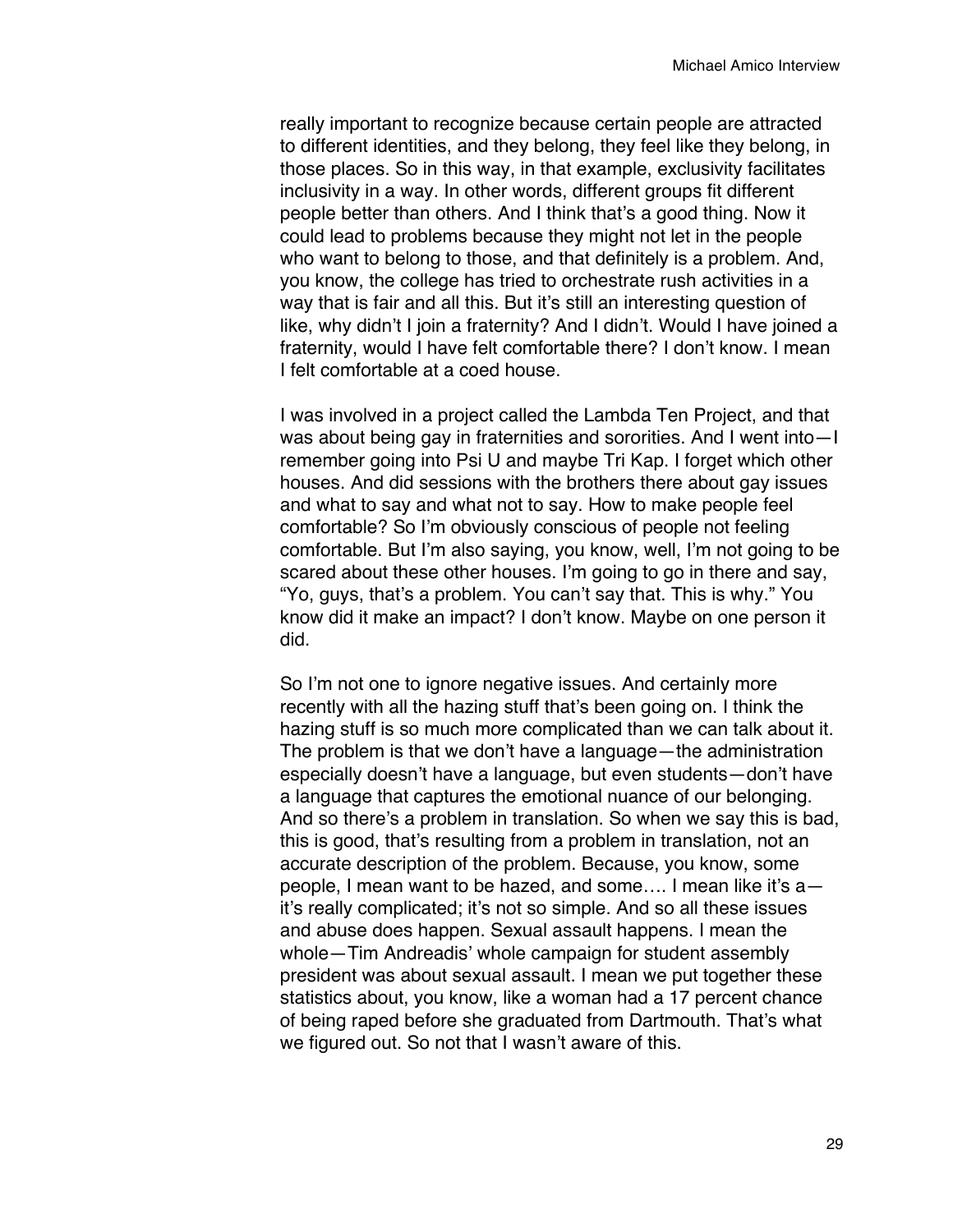really important to recognize because certain people are attracted to different identities, and they belong, they feel like they belong, in those places. So in this way, in that example, exclusivity facilitates inclusivity in a way. In other words, different groups fit different people better than others. And I think that's a good thing. Now it could lead to problems because they might not let in the people who want to belong to those, and that definitely is a problem. And, you know, the college has tried to orchestrate rush activities in a way that is fair and all this. But it's still an interesting question of like, why didn't I join a fraternity? And I didn't. Would I have joined a fraternity, would I have felt comfortable there? I don't know. I mean I felt comfortable at a coed house.

I was involved in a project called the Lambda Ten Project, and that was about being gay in fraternities and sororities. And I went into—I remember going into Psi U and maybe Tri Kap. I forget which other houses. And did sessions with the brothers there about gay issues and what to say and what not to say. How to make people feel comfortable? So I'm obviously conscious of people not feeling comfortable. But I'm also saying, you know, well, I'm not going to be scared about these other houses. I'm going to go in there and say, "Yo, guys, that's a problem. You can't say that. This is why." You know did it make an impact? I don't know. Maybe on one person it did.

So I'm not one to ignore negative issues. And certainly more recently with all the hazing stuff that's been going on. I think the hazing stuff is so much more complicated than we can talk about it. The problem is that we don't have a language—the administration especially doesn't have a language, but even students—don't have a language that captures the emotional nuance of our belonging. And so there's a problem in translation. So when we say this is bad, this is good, that's resulting from a problem in translation, not an accurate description of the problem. Because, you know, some people, I mean want to be hazed, and some…. I mean like it's a it's really complicated; it's not so simple. And so all these issues and abuse does happen. Sexual assault happens. I mean the whole—Tim Andreadis' whole campaign for student assembly president was about sexual assault. I mean we put together these statistics about, you know, like a woman had a 17 percent chance of being raped before she graduated from Dartmouth. That's what we figured out. So not that I wasn't aware of this.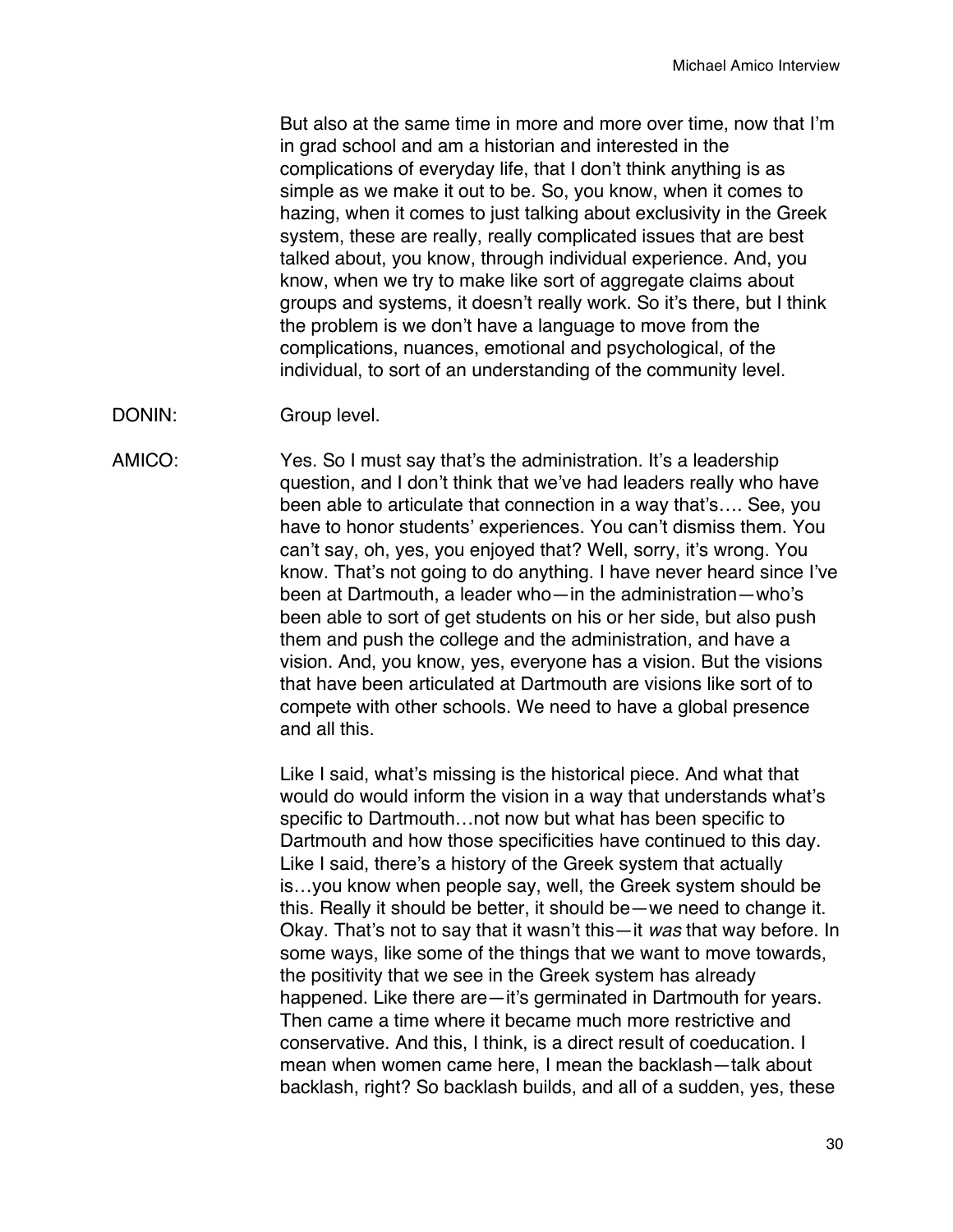But also at the same time in more and more over time, now that I'm in grad school and am a historian and interested in the complications of everyday life, that I don't think anything is as simple as we make it out to be. So, you know, when it comes to hazing, when it comes to just talking about exclusivity in the Greek system, these are really, really complicated issues that are best talked about, you know, through individual experience. And, you know, when we try to make like sort of aggregate claims about groups and systems, it doesn't really work. So it's there, but I think the problem is we don't have a language to move from the complications, nuances, emotional and psychological, of the individual, to sort of an understanding of the community level.

DONIN: Group level.

AMICO: Yes. So I must say that's the administration. It's a leadership question, and I don't think that we've had leaders really who have been able to articulate that connection in a way that's…. See, you have to honor students' experiences. You can't dismiss them. You can't say, oh, yes, you enjoyed that? Well, sorry, it's wrong. You know. That's not going to do anything. I have never heard since I've been at Dartmouth, a leader who—in the administration—who's been able to sort of get students on his or her side, but also push them and push the college and the administration, and have a vision. And, you know, yes, everyone has a vision. But the visions that have been articulated at Dartmouth are visions like sort of to compete with other schools. We need to have a global presence and all this.

> Like I said, what's missing is the historical piece. And what that would do would inform the vision in a way that understands what's specific to Dartmouth…not now but what has been specific to Dartmouth and how those specificities have continued to this day. Like I said, there's a history of the Greek system that actually is…you know when people say, well, the Greek system should be this. Really it should be better, it should be—we need to change it. Okay. That's not to say that it wasn't this—it *was* that way before. In some ways, like some of the things that we want to move towards, the positivity that we see in the Greek system has already happened. Like there are—it's germinated in Dartmouth for years. Then came a time where it became much more restrictive and conservative. And this, I think, is a direct result of coeducation. I mean when women came here, I mean the backlash—talk about backlash, right? So backlash builds, and all of a sudden, yes, these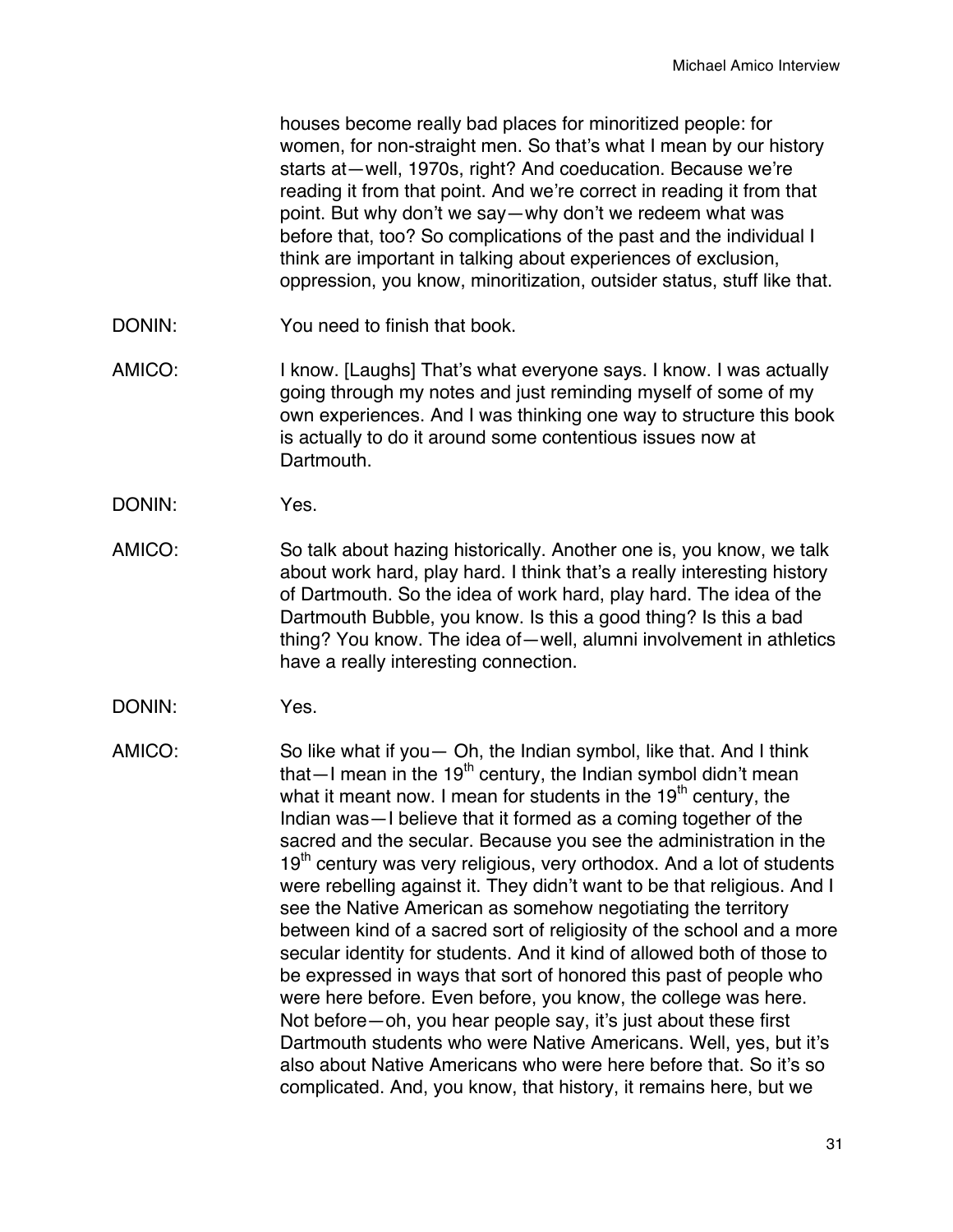houses become really bad places for minoritized people: for women, for non-straight men. So that's what I mean by our history starts at—well, 1970s, right? And coeducation. Because we're reading it from that point. And we're correct in reading it from that point. But why don't we say—why don't we redeem what was before that, too? So complications of the past and the individual I think are important in talking about experiences of exclusion, oppression, you know, minoritization, outsider status, stuff like that.

- DONIN: You need to finish that book.
- AMICO: I know. [Laughs] That's what everyone says. I know. I was actually going through my notes and just reminding myself of some of my own experiences. And I was thinking one way to structure this book is actually to do it around some contentious issues now at Dartmouth.
- DONIN: Yes.
- AMICO: So talk about hazing historically. Another one is, you know, we talk about work hard, play hard. I think that's a really interesting history of Dartmouth. So the idea of work hard, play hard. The idea of the Dartmouth Bubble, you know. Is this a good thing? Is this a bad thing? You know. The idea of—well, alumni involvement in athletics have a really interesting connection.
- DONIN: Yes.
- AMICO: So like what if you— Oh, the Indian symbol, like that. And I think that—I mean in the  $19<sup>th</sup>$  century, the Indian symbol didn't mean what it meant now. I mean for students in the  $19<sup>th</sup>$  century, the Indian was—I believe that it formed as a coming together of the sacred and the secular. Because you see the administration in the 19<sup>th</sup> century was very religious, very orthodox. And a lot of students were rebelling against it. They didn't want to be that religious. And I see the Native American as somehow negotiating the territory between kind of a sacred sort of religiosity of the school and a more secular identity for students. And it kind of allowed both of those to be expressed in ways that sort of honored this past of people who were here before. Even before, you know, the college was here. Not before—oh, you hear people say, it's just about these first Dartmouth students who were Native Americans. Well, yes, but it's also about Native Americans who were here before that. So it's so complicated. And, you know, that history, it remains here, but we